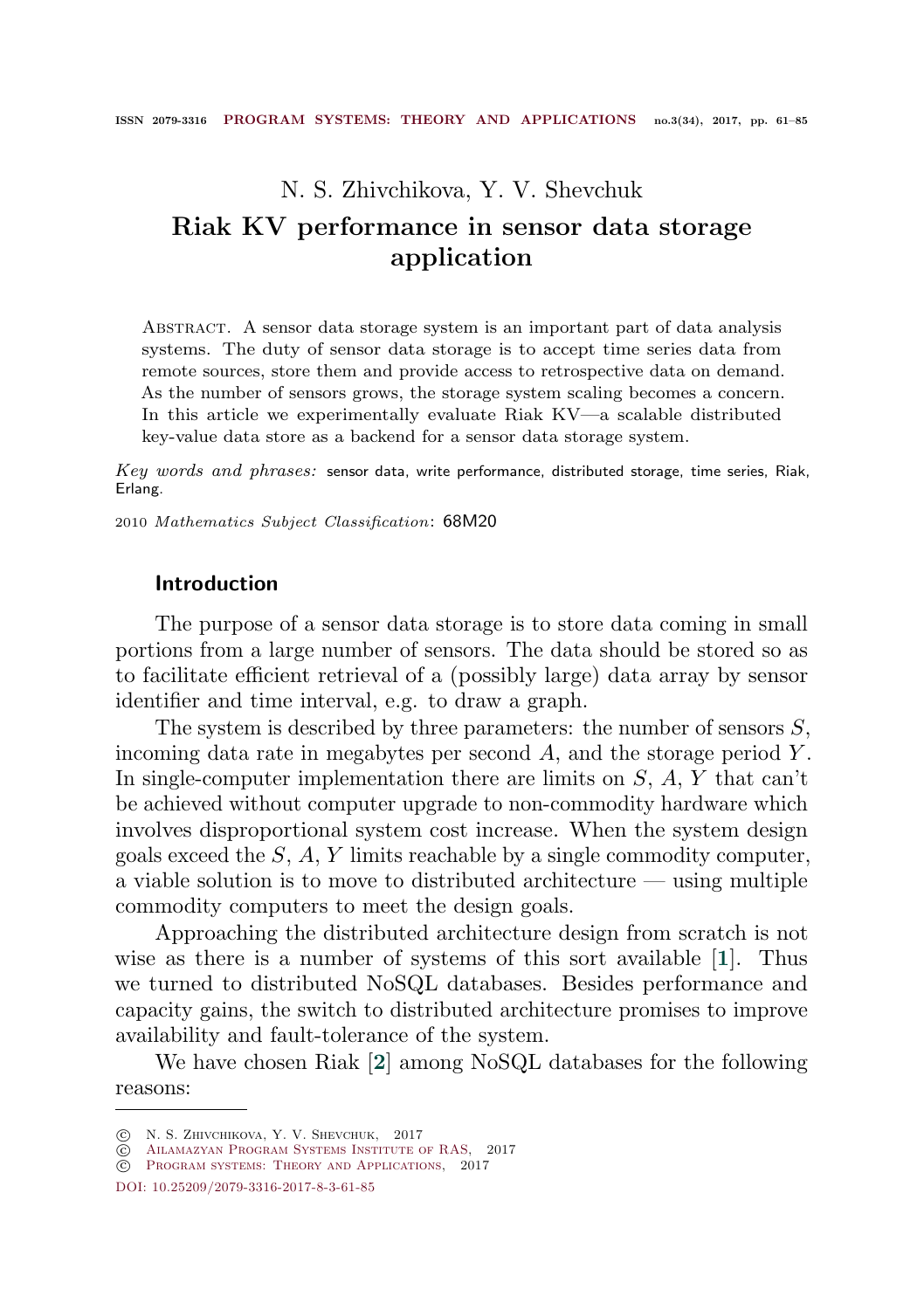# <span id="page-0-0"></span>N. S. Zhivchikova, Y. V. Shevchuk Riak KV performance in sensor data storage application

Abstract. A sensor data storage system is an important part of data analysis systems. The duty of sensor data storage is to accept time series data from remote sources, store them and provide access to retrospective data on demand. As the number of sensors grows, the storage system scaling becomes a concern. In this article we experimentally evaluate Riak KV—a scalable distributed key-value data store as a backend for a sensor data storage system.

 $Key words and phrases:$  sensor data, write performance, distributed storage, time series, Riak, Erlang.

2010 Mathematics Subject Classification: 68M20

# Introduction

The purpose of a sensor data storage is to store data coming in small portions from a large number of sensors. The data should be stored so as to facilitate efficient retrieval of a (possibly large) data array by sensor identifier and time interval, e.g. to draw a graph.

The system is described by three parameters: the number of sensors  $S$ , incoming data rate in megabytes per second  $A$ , and the storage period  $Y$ . In single-computer implementation there are limits on  $S, A, Y$  that can't be achieved without computer upgrade to non-commodity hardware which involves disproportional system cost increase. When the system design goals exceed the  $S$ ,  $A$ ,  $Y$  limits reachable by a single commodity computer, a viable solution is to move to distributed architecture  $-$  using multiple commodity computers to meet the design goals.

Approaching the distributed architecture design from scratch is not wise as there is a number of systems of this sort available [[1](#page-23-0)]. Thus we turned to distributed NoSQL databases. Besides performance and capacity gains, the switch to distributed architecture promises to improve availability and fault-tolerance of the system.

We have chosen Riak [[2](#page-23-1)] among NoSQL databases for the following reasons:

<sup>○</sup>c N. S. Zhivchikova, Y. V. Shevchuk, 2017

 $\overline{c}$  AILAMAZYAN PROGRAM SYSTEMS INSTITUTE OF RAS, 2017

 $\tilde{c}$  [Program systems: Theory and Applications,](http://psta.psiras.ru) 2017

[DOI:](https://www.doi.org/) [10.25209/2079-3316-2017-8-3-61-85](https://doi.org/10.25209/2079-3316-2017-8-3-61-85)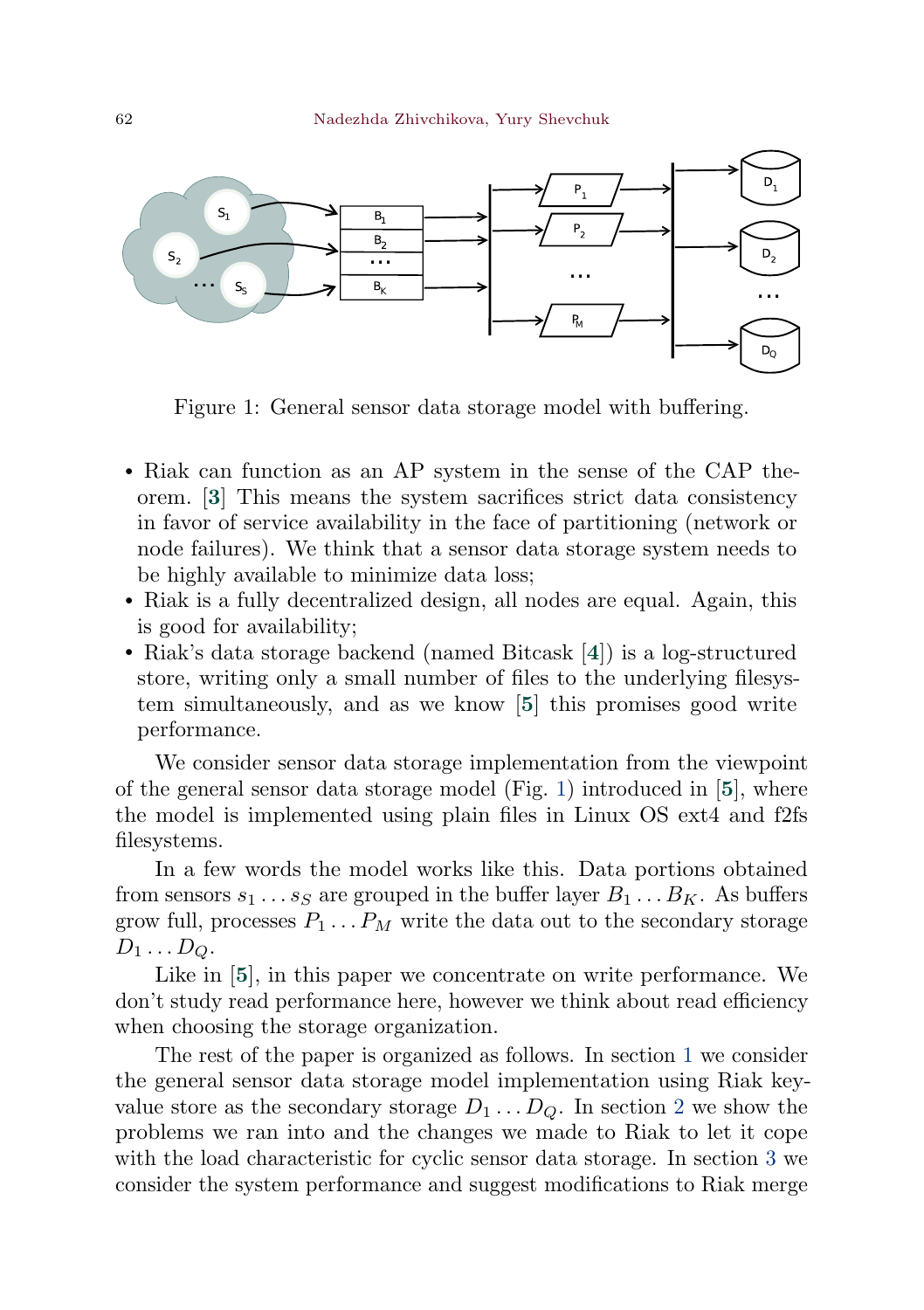<span id="page-1-1"></span><span id="page-1-0"></span>

Figure 1: General sensor data storage model with buffering.

- <sup>∙</sup> Riak can function as an AP system in the sense of the CAP theorem. [[3](#page-23-2)] This means the system sacrifices strict data consistency in favor of service availability in the face of partitioning (network or node failures). We think that a sensor data storage system needs to be highly available to minimize data loss;
- <sup>∙</sup> Riak is a fully decentralized design, all nodes are equal. Again, this is good for availability;
- <sup>∙</sup> Riak's data storage backend (named Bitcask [[4](#page-23-3)]) is a log-structured store, writing only a small number of files to the underlying filesystem simultaneously, and as we know [[5](#page-23-4)] this promises good write performance.

We consider sensor data storage implementation from the viewpoint of the general sensor data storage model (Fig. [1\)](#page-1-0) introduced in [[5](#page-23-4)], where the model is implemented using plain files in Linux OS ext4 and f2fs filesystems.

In a few words the model works like this. Data portions obtained from sensors  $s_1 \ldots s_S$  are grouped in the buffer layer  $B_1 \ldots B_K$ . As buffers grow full, processes  $P_1 \ldots P_M$  write the data out to the secondary storage  $D_1 \ldots D_Q$ .

Like in [[5](#page-23-4)], in this paper we concentrate on write performance. We don't study read performance here, however we think about read efficiency when choosing the storage organization.

The rest of the paper is organized as follows. In section [1](#page-2-0) we consider the general sensor data storage model implementation using Riak keyvalue store as the secondary storage  $D_1 \dots D_O$ . In section [2](#page-6-0) we show the problems we ran into and the changes we made to Riak to let it cope with the load characteristic for cyclic sensor data storage. In section [3](#page-8-0) we consider the system performance and suggest modifications to Riak merge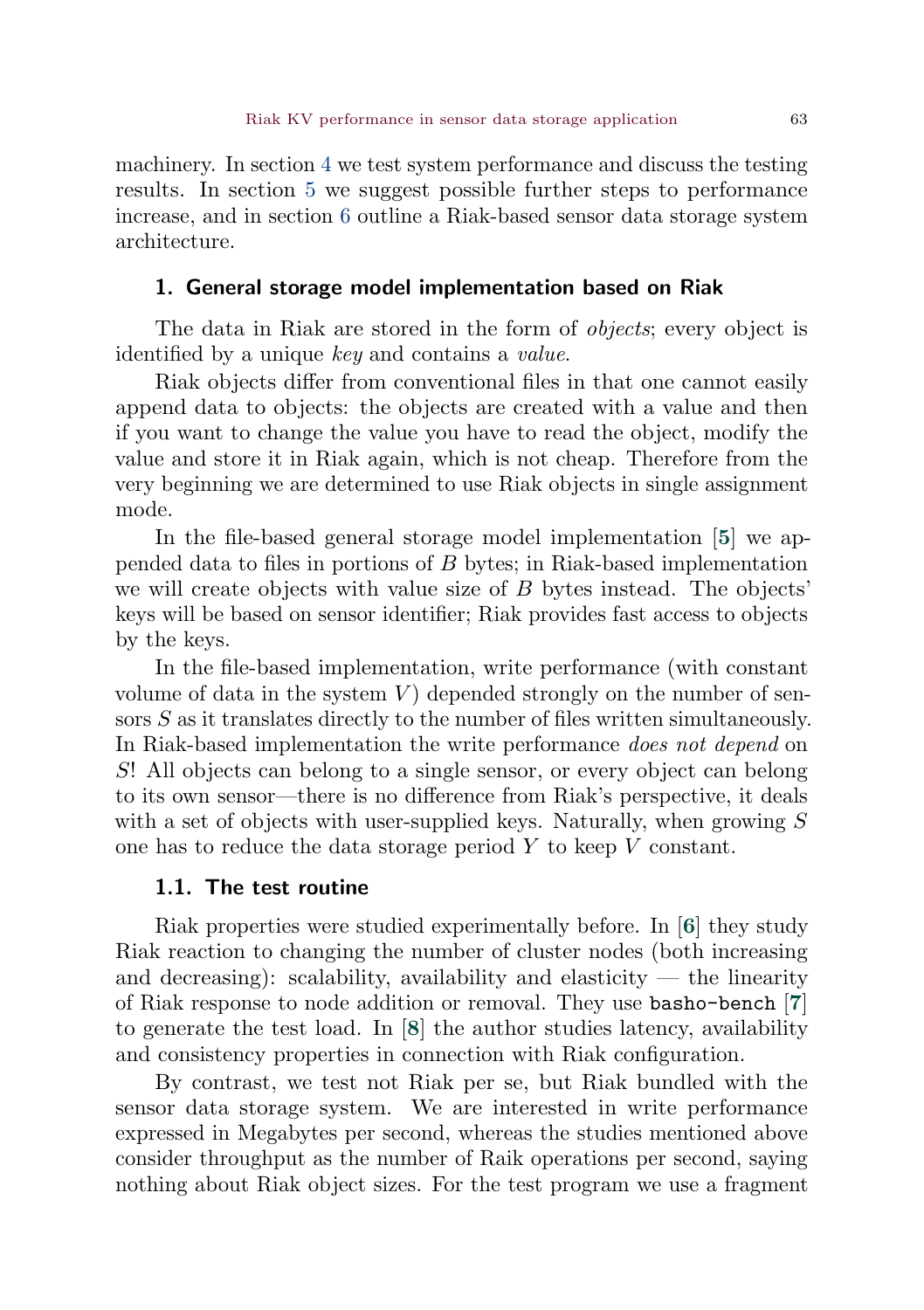<span id="page-2-1"></span>machinery. In section [4](#page-12-0) we test system performance and discuss the testing results. In section [5](#page-20-0) we suggest possible further steps to performance increase, and in section [6](#page-21-0) outline a Riak-based sensor data storage system architecture.

### <span id="page-2-0"></span>1. General storage model implementation based on Riak

The data in Riak are stored in the form of *objects*; every object is identified by a unique key and contains a value.

Riak objects differ from conventional files in that one cannot easily append data to objects: the objects are created with a value and then if you want to change the value you have to read the object, modify the value and store it in Riak again, which is not cheap. Therefore from the very beginning we are determined to use Riak objects in single assignment mode.

In the file-based general storage model implementation [[5](#page-23-4)] we appended data to files in portions of  $B$  bytes; in Riak-based implementation we will create objects with value size of  $B$  bytes instead. The objects' keys will be based on sensor identifier; Riak provides fast access to objects by the keys.

In the file-based implementation, write performance (with constant volume of data in the system  $V$ ) depended strongly on the number of sensors  $S$  as it translates directly to the number of files written simultaneously. In Riak-based implementation the write performance does not depend on ! All objects can belong to a single sensor, or every object can belong to its own sensor—there is no difference from Riak's perspective, it deals with a set of objects with user-supplied keys. Naturally, when growing  $S$ one has to reduce the data storage period  $Y$  to keep  $V$  constant.

# 1.1. The test routine

Riak properties were studied experimentally before. In [[6](#page-23-5)] they study Riak reaction to changing the number of cluster nodes (both increasing and decreasing): scalability, availability and elasticity — the linearity of Riak response to node addition or removal. They use basho-bench [[7](#page-23-6)] to generate the test load. In [[8](#page-23-7)] the author studies latency, availability and consistency properties in connection with Riak configuration.

By contrast, we test not Riak per se, but Riak bundled with the sensor data storage system. We are interested in write performance expressed in Megabytes per second, whereas the studies mentioned above consider throughput as the number of Raik operations per second, saying nothing about Riak object sizes. For the test program we use a fragment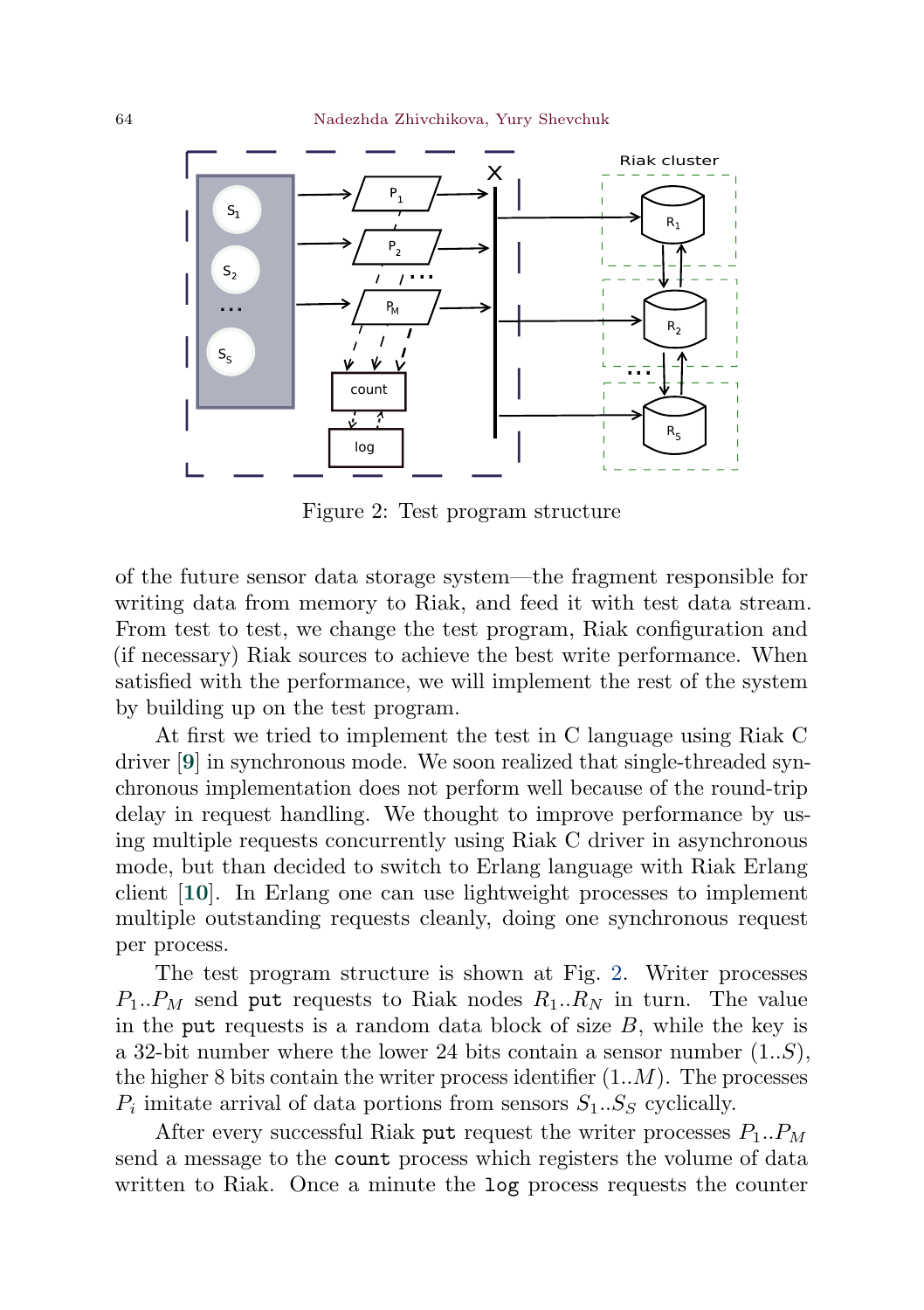<span id="page-3-1"></span><span id="page-3-0"></span>

Figure 2: Test program structure

of the future sensor data storage system—the fragment responsible for writing data from memory to Riak, and feed it with test data stream. From test to test, we change the test program, Riak configuration and (if necessary) Riak sources to achieve the best write performance. When satisfied with the performance, we will implement the rest of the system by building up on the test program.

At first we tried to implement the test in C language using Riak C driver [[9](#page-23-8)] in synchronous mode. We soon realized that single-threaded synchronous implementation does not perform well because of the round-trip delay in request handling. We thought to improve performance by using multiple requests concurrently using Riak C driver in asynchronous mode, but than decided to switch to Erlang language with Riak Erlang client [[10](#page-23-9)]. In Erlang one can use lightweight processes to implement multiple outstanding requests cleanly, doing one synchronous request per process.

The test program structure is shown at Fig. [2.](#page-3-0) Writer processes  $P_1.. P_M$  send put requests to Riak nodes  $R_1.. R_N$  in turn. The value in the put requests is a random data block of size  $B$ , while the key is a 32-bit number where the lower 24 bits contain a sensor number  $(1..S)$ , the higher 8 bits contain the writer process identifier  $(1..M)$ . The processes  $P_i$  imitate arrival of data portions from sensors  $S_1...S_S$  cyclically.

After every successful Riak put request the writer processes  $P_1..P_M$ send a message to the count process which registers the volume of data written to Riak. Once a minute the log process requests the counter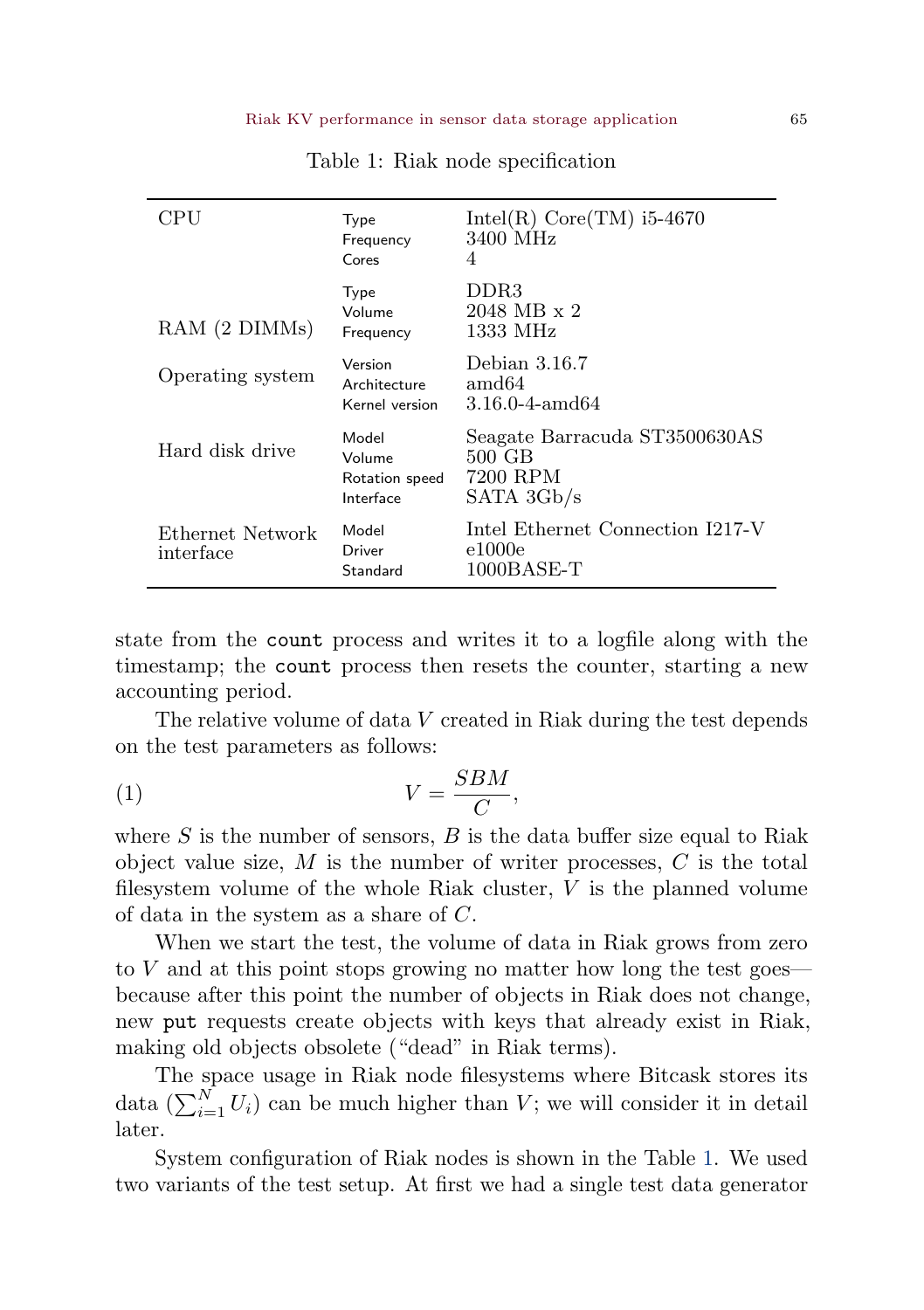<span id="page-4-0"></span>

| CPU                           | Type<br>Frequency<br>Cores                     | Intel(R) $Core(TM)$ i5-4670<br>3400 MHz<br>4                      |
|-------------------------------|------------------------------------------------|-------------------------------------------------------------------|
| RAM (2 DIMMs)                 | Type<br>Volume<br>Frequency                    | DDR3<br>$2048 \text{ MB} \times 2$<br>1333 MHz                    |
| Operating system              | Version<br>Architecture<br>Kernel version      | Debian 3.16.7<br>amd64<br>3.16.0-4-amd64                          |
| Hard disk drive               | Model<br>Volume<br>Rotation speed<br>Interface | Seagate Barracuda ST3500630AS<br>500 GB<br>7200 RPM<br>SATA 3Gb/s |
| Ethernet Network<br>interface | Model<br>Driver<br>Standard                    | Intel Ethernet Connection I217-V<br>e1000e<br>$1000$ BASE-T       |

Table 1: Riak node specification

state from the count process and writes it to a logfile along with the timestamp; the count process then resets the counter, starting a new accounting period.

The relative volume of data  $V$  created in Riak during the test depends on the test parameters as follows:

<span id="page-4-1"></span>
$$
(1) \t\t V = \frac{SBM}{C},
$$

where  $S$  is the number of sensors,  $B$  is the data buffer size equal to Riak object value size,  $M$  is the number of writer processes,  $C$  is the total filesystem volume of the whole Riak cluster,  $V$  is the planned volume of data in the system as a share of  $C$ .

When we start the test, the volume of data in Riak grows from zero to  $V$  and at this point stops growing no matter how long the test goes because after this point the number of objects in Riak does not change, new put requests create objects with keys that already exist in Riak, making old objects obsolete ("dead" in Riak terms).

The space usage in Riak node filesystems where Bitcask stores its data  $\left(\sum_{i=1}^{N} U_i\right)$  can be much higher than V; we will consider it in detail later.

System configuration of Riak nodes is shown in the Table [1.](#page-4-0) We used two variants of the test setup. At first we had a single test data generator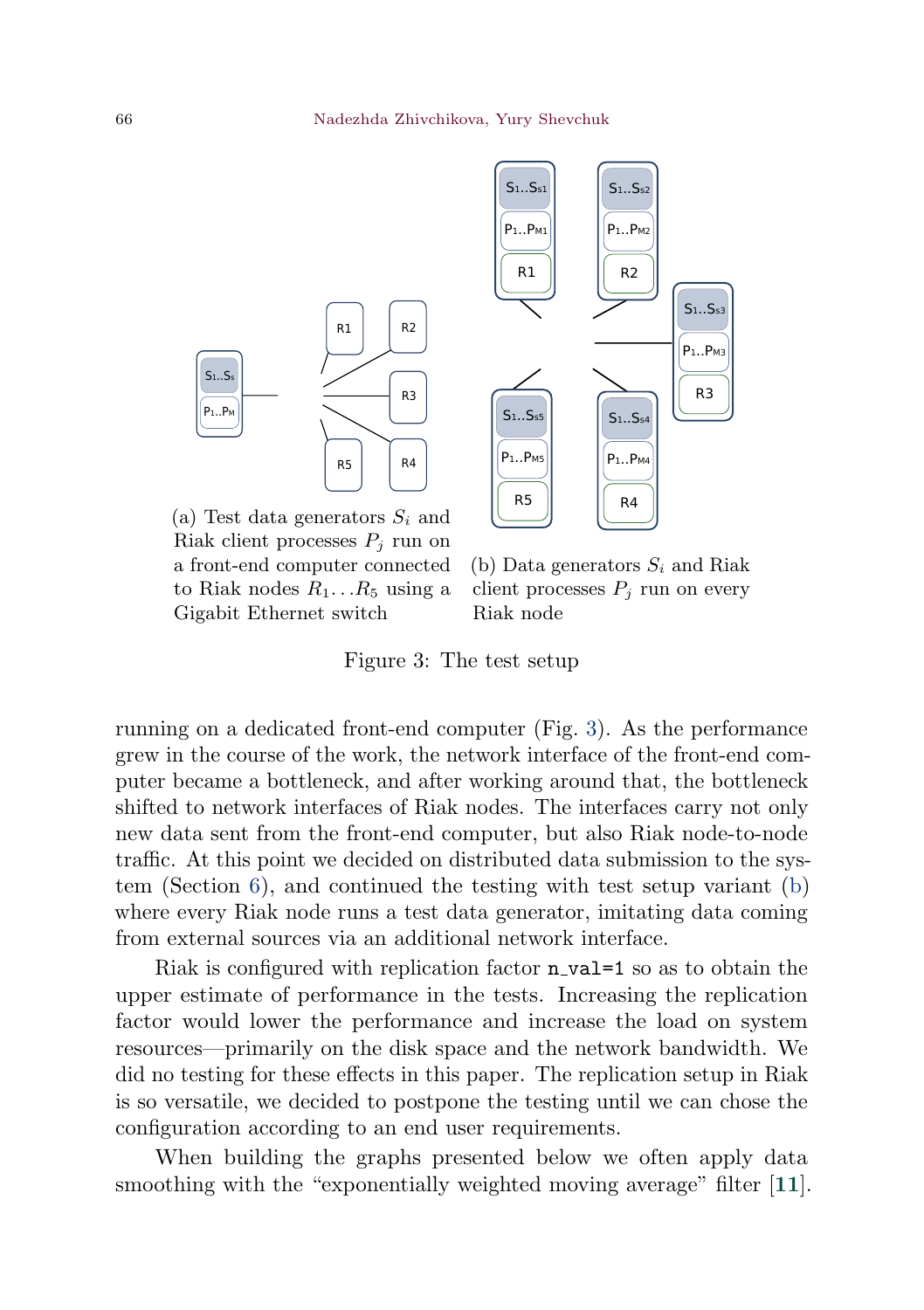<span id="page-5-1"></span><span id="page-5-0"></span>



(a) Test data generators  $S_i$  and Riak client processes  $P_i$  run on a front-end computer connected to Riak nodes  $R_1...R_5$  using a Gigabit Ethernet switch

(b) Data generators  $S_i$  and Riak client processes  $P_i$  run on every Riak node

Figure 3: The test setup

running on a dedicated front-end computer (Fig. [3\)](#page-5-0). As the performance grew in the course of the work, the network interface of the front-end computer became a bottleneck, and after working around that, the bottleneck shifted to network interfaces of Riak nodes. The interfaces carry not only new data sent from the front-end computer, but also Riak node-to-node traffic. At this point we decided on distributed data submission to the system (Section [6\)](#page-21-0), and continued the testing with test setup variant [\(b\)](#page-5-0) where every Riak node runs a test data generator, imitating data coming from external sources via an additional network interface.

Riak is configured with replication factor **n\_val=1** so as to obtain the upper estimate of performance in the tests. Increasing the replication factor would lower the performance and increase the load on system resources—primarily on the disk space and the network bandwidth. We did no testing for these effects in this paper. The replication setup in Riak is so versatile, we decided to postpone the testing until we can chose the configuration according to an end user requirements.

When building the graphs presented below we often apply data smoothing with the "exponentially weighted moving average" filter [[11](#page-23-10)].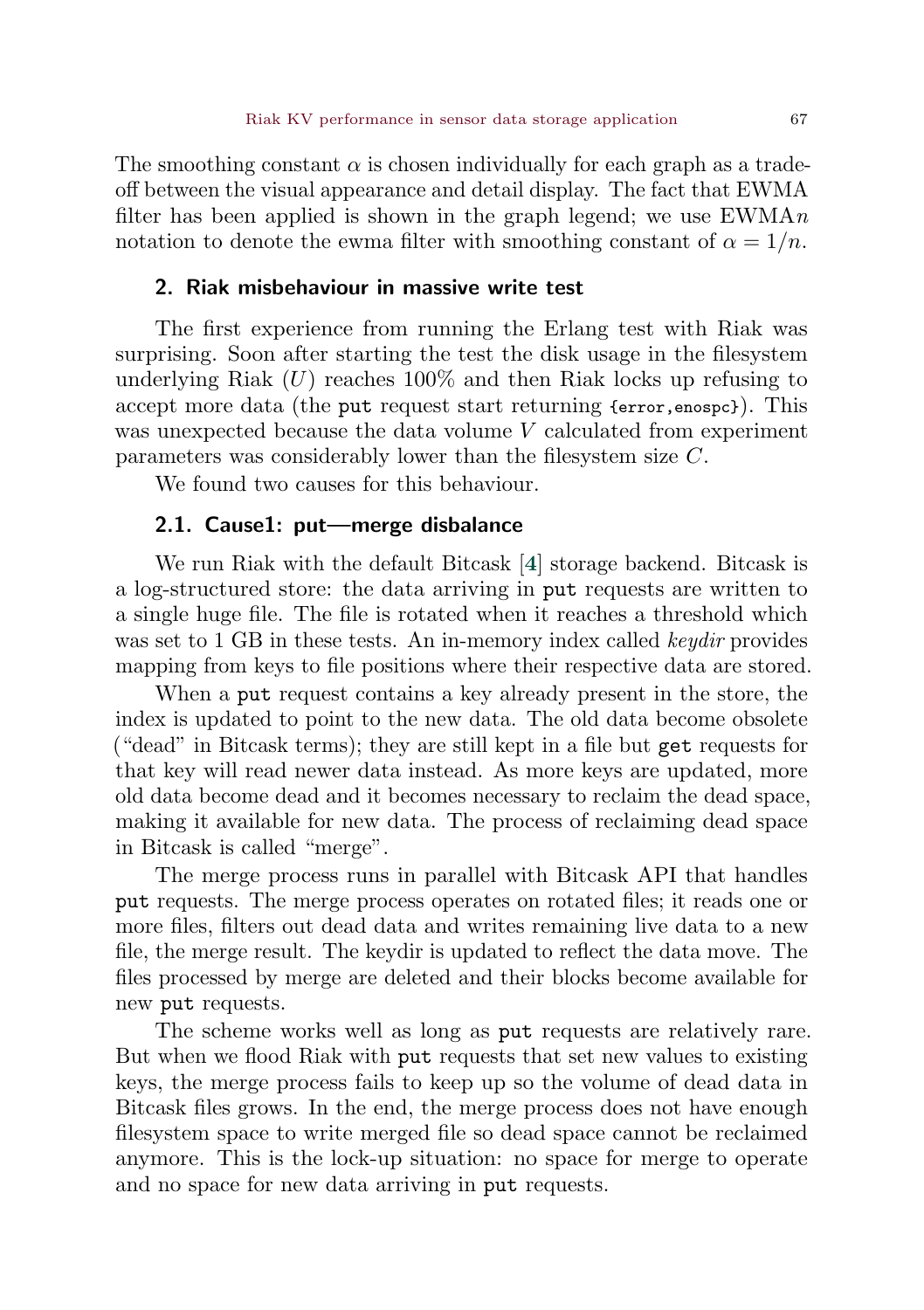<span id="page-6-2"></span>The smoothing constant  $\alpha$  is chosen individually for each graph as a tradeoff between the visual appearance and detail display. The fact that EWMA filter has been applied is shown in the graph legend; we use  $EWMAn$ notation to denote the ewma filter with smoothing constant of  $\alpha = 1/n$ .

# <span id="page-6-0"></span>2. Riak misbehaviour in massive write test

The first experience from running the Erlang test with Riak was surprising. Soon after starting the test the disk usage in the filesystem underlying Riak  $(U)$  reaches 100% and then Riak locks up refusing to accept more data (the put request start returning {error,enospc}). This was unexpected because the data volume  $V$  calculated from experiment parameters was considerably lower than the filesystem size  $C$ .

We found two causes for this behaviour.

# <span id="page-6-1"></span>2.1. Cause1: put—merge disbalance

We run Riak with the default Bitcask [[4](#page-23-3)] storage backend. Bitcask is a log-structured store: the data arriving in put requests are written to a single huge file. The file is rotated when it reaches a threshold which was set to 1 GB in these tests. An in-memory index called *keydir* provides mapping from keys to file positions where their respective data are stored.

When a put request contains a key already present in the store, the index is updated to point to the new data. The old data become obsolete ("dead" in Bitcask terms); they are still kept in a file but get requests for that key will read newer data instead. As more keys are updated, more old data become dead and it becomes necessary to reclaim the dead space, making it available for new data. The process of reclaiming dead space in Bitcask is called "merge".

The merge process runs in parallel with Bitcask API that handles put requests. The merge process operates on rotated files; it reads one or more files, filters out dead data and writes remaining live data to a new file, the merge result. The keydir is updated to reflect the data move. The files processed by merge are deleted and their blocks become available for new put requests.

The scheme works well as long as put requests are relatively rare. But when we flood Riak with put requests that set new values to existing keys, the merge process fails to keep up so the volume of dead data in Bitcask files grows. In the end, the merge process does not have enough filesystem space to write merged file so dead space cannot be reclaimed anymore. This is the lock-up situation: no space for merge to operate and no space for new data arriving in put requests.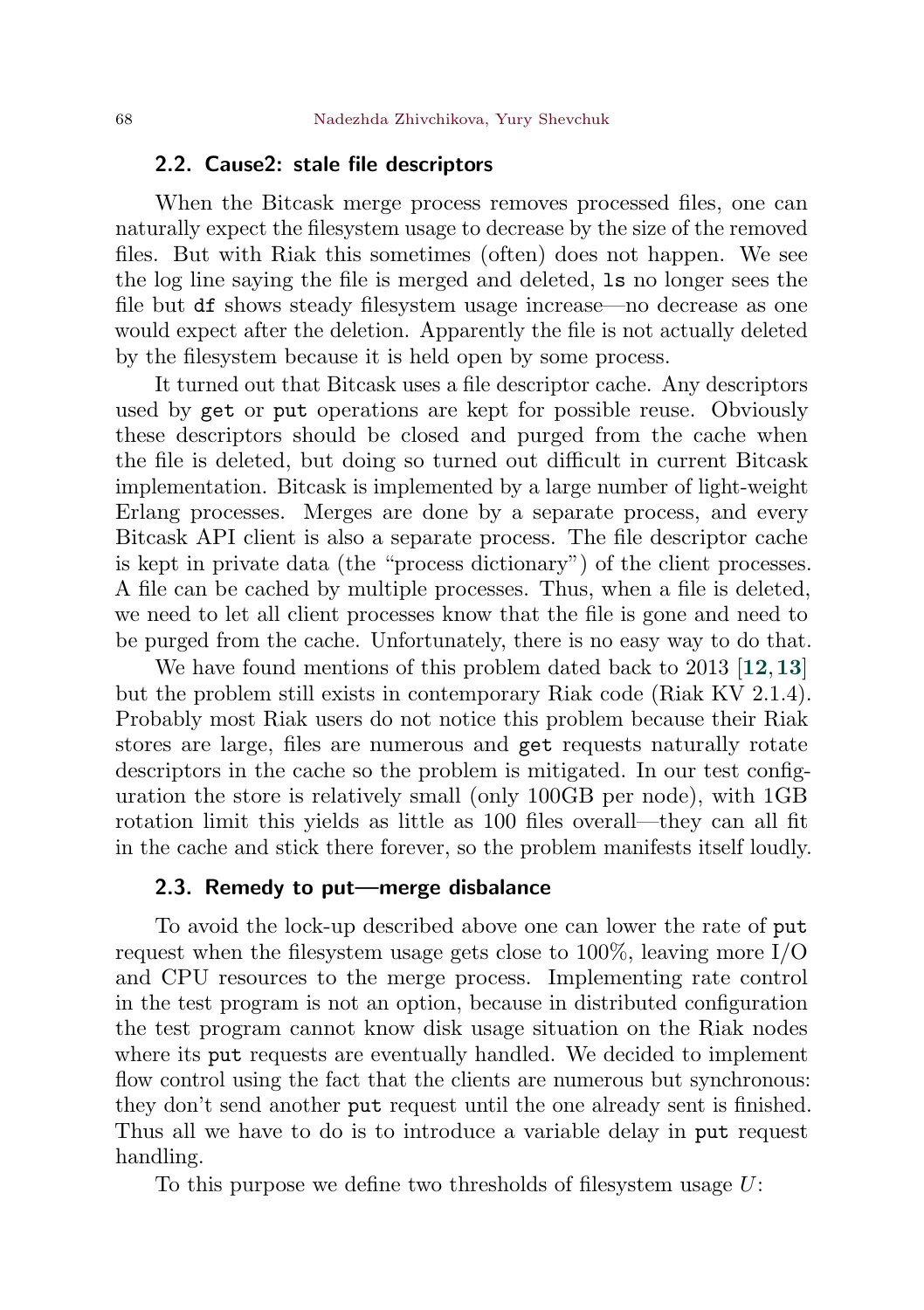# <span id="page-7-1"></span>2.2. Cause2: stale file descriptors

When the Bitcask merge process removes processed files, one can naturally expect the filesystem usage to decrease by the size of the removed files. But with Riak this sometimes (often) does not happen. We see the log line saying the file is merged and deleted, ls no longer sees the file but df shows steady filesystem usage increase—no decrease as one would expect after the deletion. Apparently the file is not actually deleted by the filesystem because it is held open by some process.

It turned out that Bitcask uses a file descriptor cache. Any descriptors used by get or put operations are kept for possible reuse. Obviously these descriptors should be closed and purged from the cache when the file is deleted, but doing so turned out difficult in current Bitcask implementation. Bitcask is implemented by a large number of light-weight Erlang processes. Merges are done by a separate process, and every Bitcask API client is also a separate process. The file descriptor cache is kept in private data (the "process dictionary") of the client processes. A file can be cached by multiple processes. Thus, when a file is deleted, we need to let all client processes know that the file is gone and need to be purged from the cache. Unfortunately, there is no easy way to do that.

We have found mentions of this problem dated back to 2013 [[12](#page-23-11),[13](#page-23-12)] but the problem still exists in contemporary Riak code (Riak KV 2.1.4). Probably most Riak users do not notice this problem because their Riak stores are large, files are numerous and get requests naturally rotate descriptors in the cache so the problem is mitigated. In our test configuration the store is relatively small (only 100GB per node), with 1GB rotation limit this yields as little as 100 files overall—they can all fit in the cache and stick there forever, so the problem manifests itself loudly.

## <span id="page-7-0"></span>2.3. Remedy to put—merge disbalance

To avoid the lock-up described above one can lower the rate of put request when the filesystem usage gets close to 100%, leaving more I/O and CPU resources to the merge process. Implementing rate control in the test program is not an option, because in distributed configuration the test program cannot know disk usage situation on the Riak nodes where its put requests are eventually handled. We decided to implement flow control using the fact that the clients are numerous but synchronous: they don't send another put request until the one already sent is finished. Thus all we have to do is to introduce a variable delay in put request handling.

To this purpose we define two thresholds of filesystem usage  $U$ :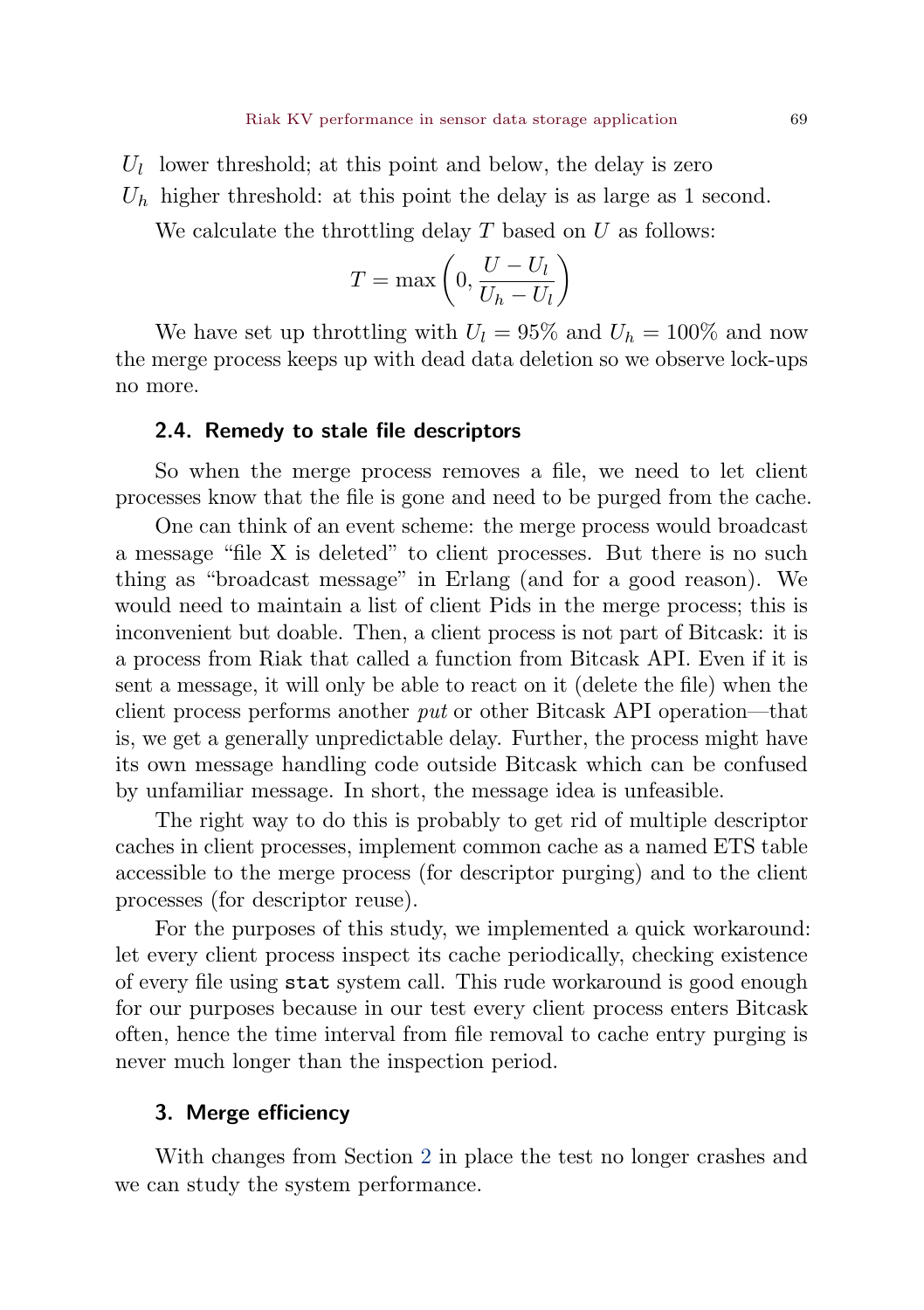- $U_l$  lower threshold; at this point and below, the delay is zero
- $U_h$  higher threshold: at this point the delay is as large as 1 second.

We calculate the throttling delay  $T$  based on  $U$  as follows:

$$
T = \max\left(0, \frac{U - U_l}{U_h - U_l}\right)
$$

We have set up throttling with  $U_l = 95\%$  and  $U_b = 100\%$  and now the merge process keeps up with dead data deletion so we observe lock-ups no more.

# 2.4. Remedy to stale file descriptors

So when the merge process removes a file, we need to let client processes know that the file is gone and need to be purged from the cache.

One can think of an event scheme: the merge process would broadcast a message "file X is deleted" to client processes. But there is no such thing as "broadcast message" in Erlang (and for a good reason). We would need to maintain a list of client Pids in the merge process; this is inconvenient but doable. Then, a client process is not part of Bitcask: it is a process from Riak that called a function from Bitcask API. Even if it is sent a message, it will only be able to react on it (delete the file) when the client process performs another put or other Bitcask API operation—that is, we get a generally unpredictable delay. Further, the process might have its own message handling code outside Bitcask which can be confused by unfamiliar message. In short, the message idea is unfeasible.

The right way to do this is probably to get rid of multiple descriptor caches in client processes, implement common cache as a named ETS table accessible to the merge process (for descriptor purging) and to the client processes (for descriptor reuse).

For the purposes of this study, we implemented a quick workaround: let every client process inspect its cache periodically, checking existence of every file using stat system call. This rude workaround is good enough for our purposes because in our test every client process enters Bitcask often, hence the time interval from file removal to cache entry purging is never much longer than the inspection period.

# <span id="page-8-0"></span>3. Merge efficiency

With changes from Section [2](#page-6-0) in place the test no longer crashes and we can study the system performance.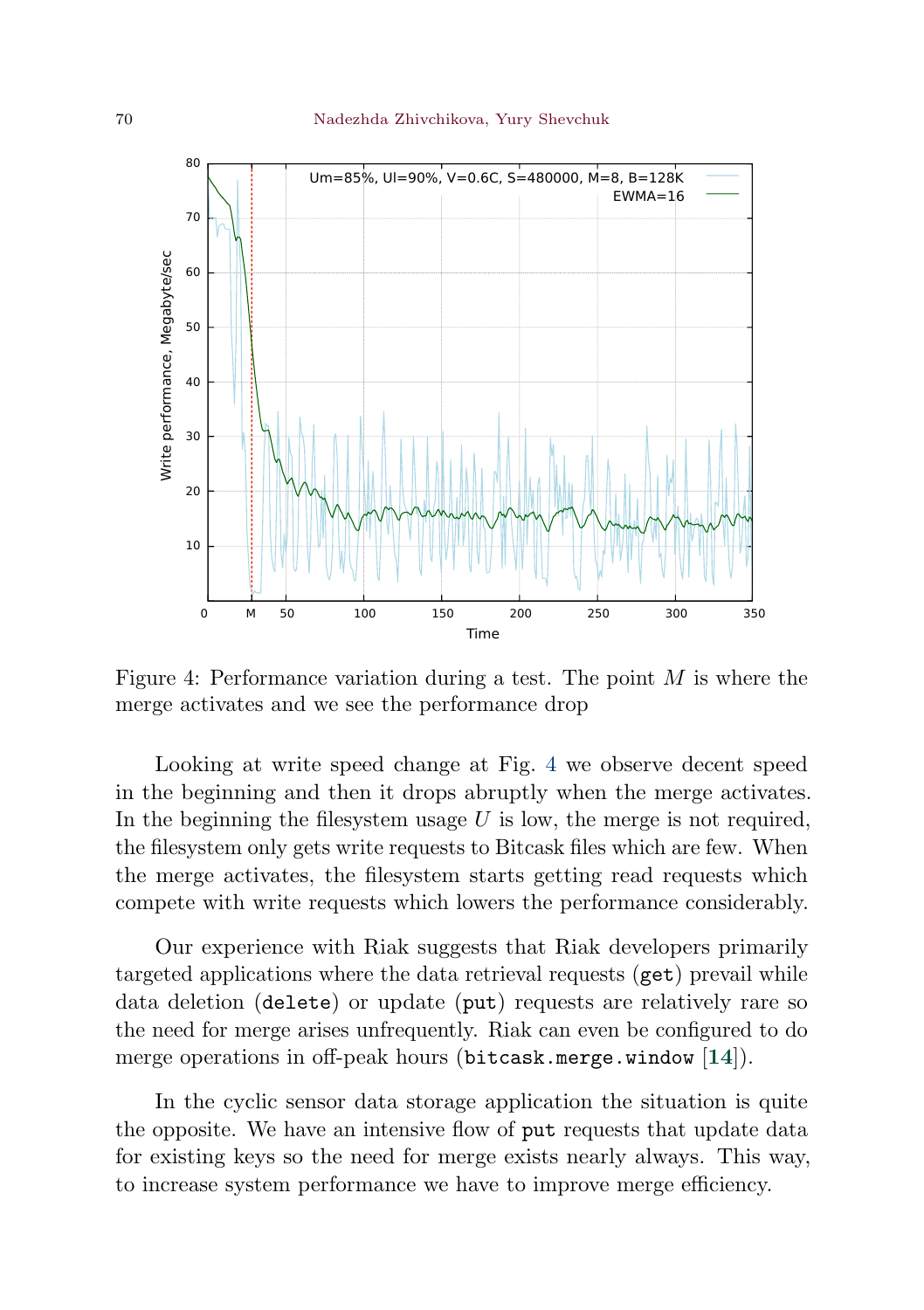<span id="page-9-1"></span><span id="page-9-0"></span>

Figure 4: Performance variation during a test. The point  $M$  is where the merge activates and we see the performance drop

Looking at write speed change at Fig. [4](#page-9-0) we observe decent speed in the beginning and then it drops abruptly when the merge activates. In the beginning the filesystem usage  $U$  is low, the merge is not required, the filesystem only gets write requests to Bitcask files which are few. When the merge activates, the filesystem starts getting read requests which compete with write requests which lowers the performance considerably.

Our experience with Riak suggests that Riak developers primarily targeted applications where the data retrieval requests (get) prevail while data deletion (delete) or update (put) requests are relatively rare so the need for merge arises unfrequently. Riak can even be configured to do merge operations in off-peak hours (bitcask.merge.window [[14](#page-23-13)]).

In the cyclic sensor data storage application the situation is quite the opposite. We have an intensive flow of put requests that update data for existing keys so the need for merge exists nearly always. This way, to increase system performance we have to improve merge efficiency.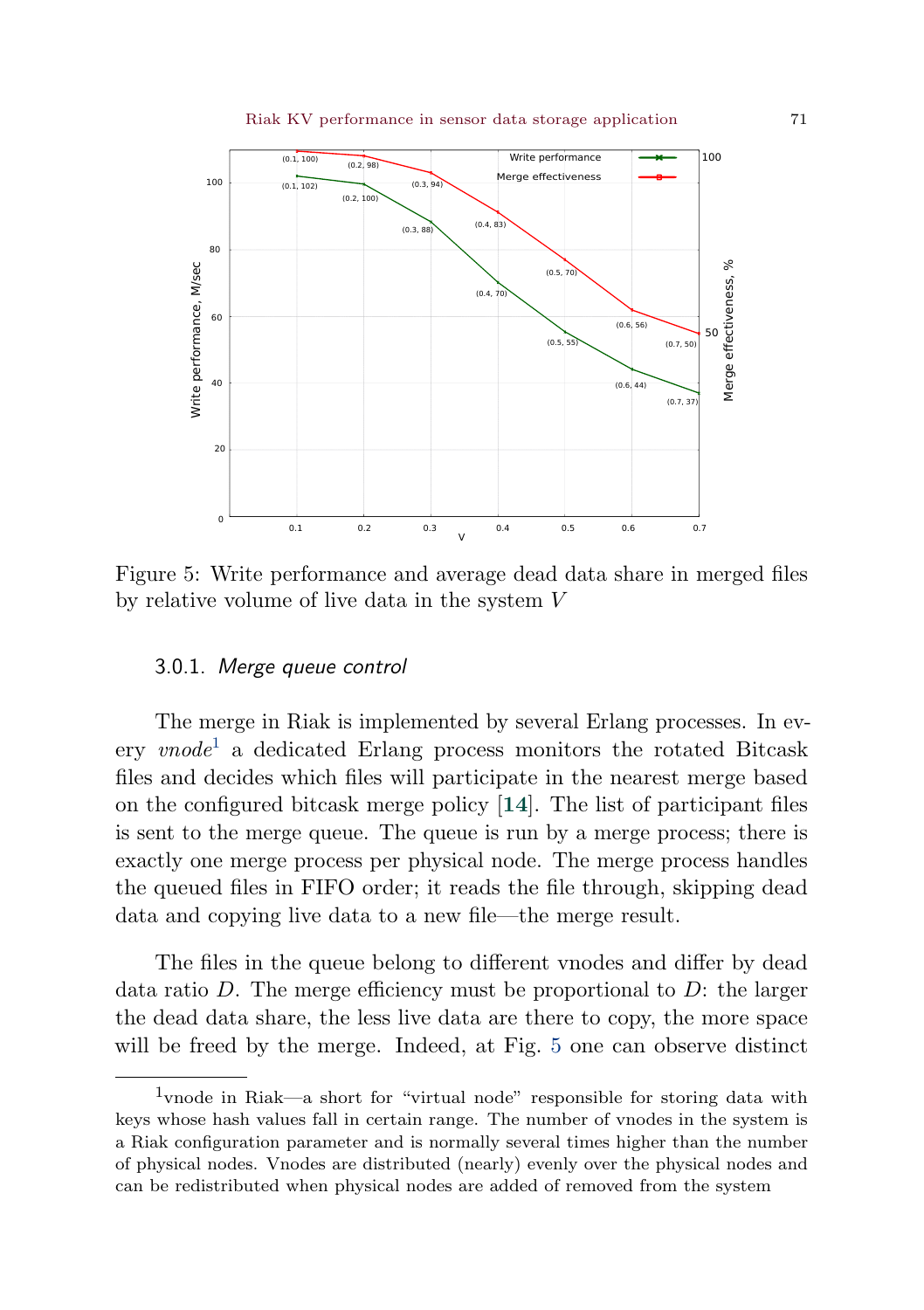<span id="page-10-2"></span><span id="page-10-1"></span>

Figure 5: Write performance and average dead data share in merged files by relative volume of live data in the system  $V$ 

# 3.0.1. Merge queue control

The merge in Riak is implemented by several Erlang processes. In every *vnode*<sup>[1](#page-10-0)</sup> a dedicated Erlang process monitors the rotated Bitcask files and decides which files will participate in the nearest merge based on the configured bitcask merge policy [[14](#page-23-13)]. The list of participant files is sent to the merge queue. The queue is run by a merge process; there is exactly one merge process per physical node. The merge process handles the queued files in FIFO order; it reads the file through, skipping dead data and copying live data to a new file—the merge result.

The files in the queue belong to different vnodes and differ by dead data ratio  $D$ . The merge efficiency must be proportional to  $D$ : the larger the dead data share, the less live data are there to copy, the more space will be freed by the merge. Indeed, at Fig. [5](#page-10-1) one can observe distinct

<span id="page-10-0"></span><sup>1</sup>vnode in Riak—a short for "virtual node" responsible for storing data with keys whose hash values fall in certain range. The number of vnodes in the system is a Riak configuration parameter and is normally several times higher than the number of physical nodes. Vnodes are distributed (nearly) evenly over the physical nodes and can be redistributed when physical nodes are added of removed from the system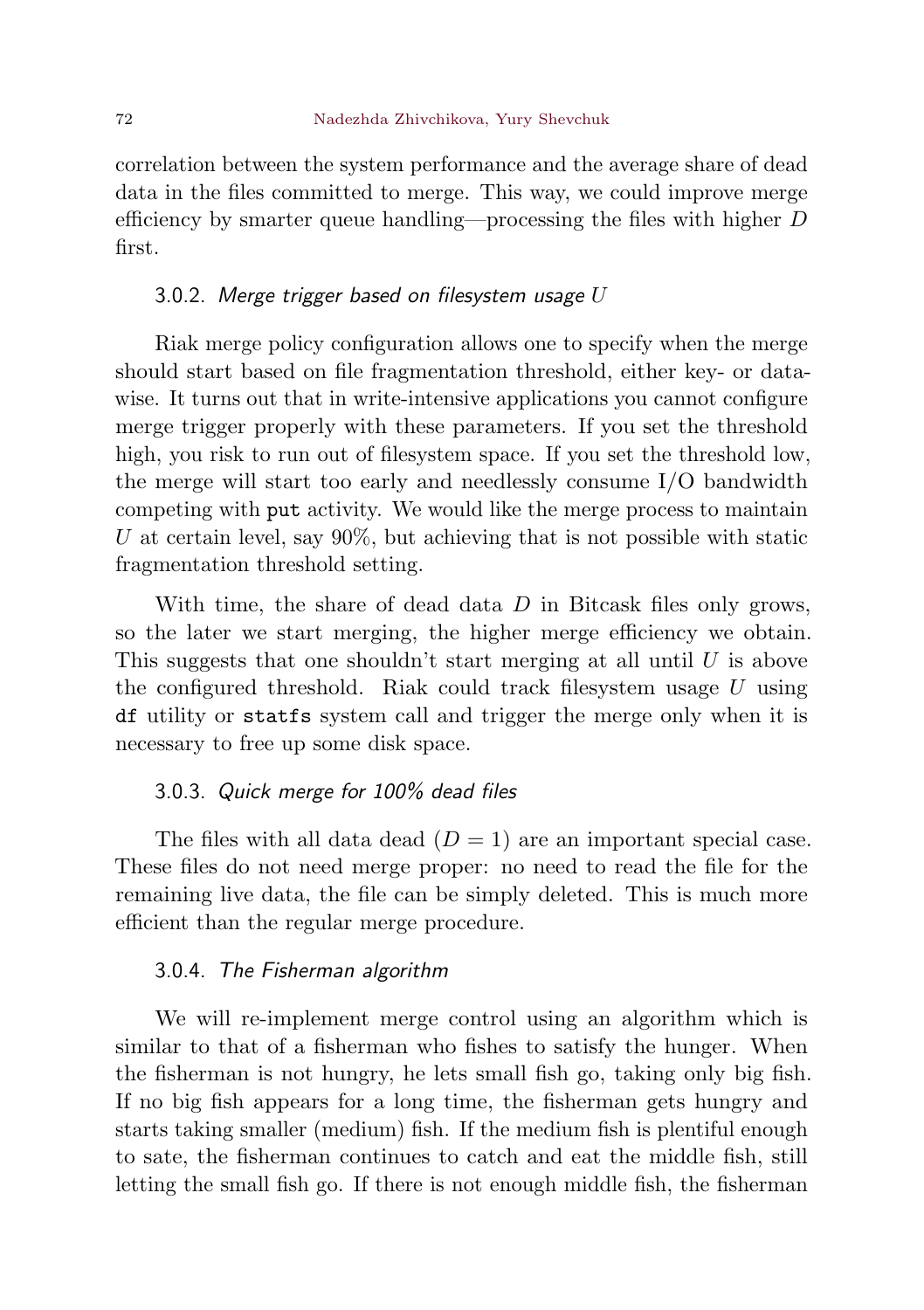correlation between the system performance and the average share of dead data in the files committed to merge. This way, we could improve merge efficiency by smarter queue handling—processing the files with higher  $D$ first.

## 3.0.2. Merge trigger based on filesystem usage  $U$

Riak merge policy configuration allows one to specify when the merge should start based on file fragmentation threshold, either key- or datawise. It turns out that in write-intensive applications you cannot configure merge trigger properly with these parameters. If you set the threshold high, you risk to run out of filesystem space. If you set the threshold low, the merge will start too early and needlessly consume I/O bandwidth competing with put activity. We would like the merge process to maintain U at certain level, say  $90\%$ , but achieving that is not possible with static fragmentation threshold setting.

With time, the share of dead data  $D$  in Bitcask files only grows, so the later we start merging, the higher merge efficiency we obtain. This suggests that one shouldn't start merging at all until  $U$  is above the configured threshold. Riak could track filesystem usage  $U$  using df utility or statfs system call and trigger the merge only when it is necessary to free up some disk space.

#### <span id="page-11-0"></span>3.0.3. Quick merge for 100% dead files

The files with all data dead  $(D = 1)$  are an important special case. These files do not need merge proper: no need to read the file for the remaining live data, the file can be simply deleted. This is much more efficient than the regular merge procedure.

# 3.0.4. The Fisherman algorithm

We will re-implement merge control using an algorithm which is similar to that of a fisherman who fishes to satisfy the hunger. When the fisherman is not hungry, he lets small fish go, taking only big fish. If no big fish appears for a long time, the fisherman gets hungry and starts taking smaller (medium) fish. If the medium fish is plentiful enough to sate, the fisherman continues to catch and eat the middle fish, still letting the small fish go. If there is not enough middle fish, the fisherman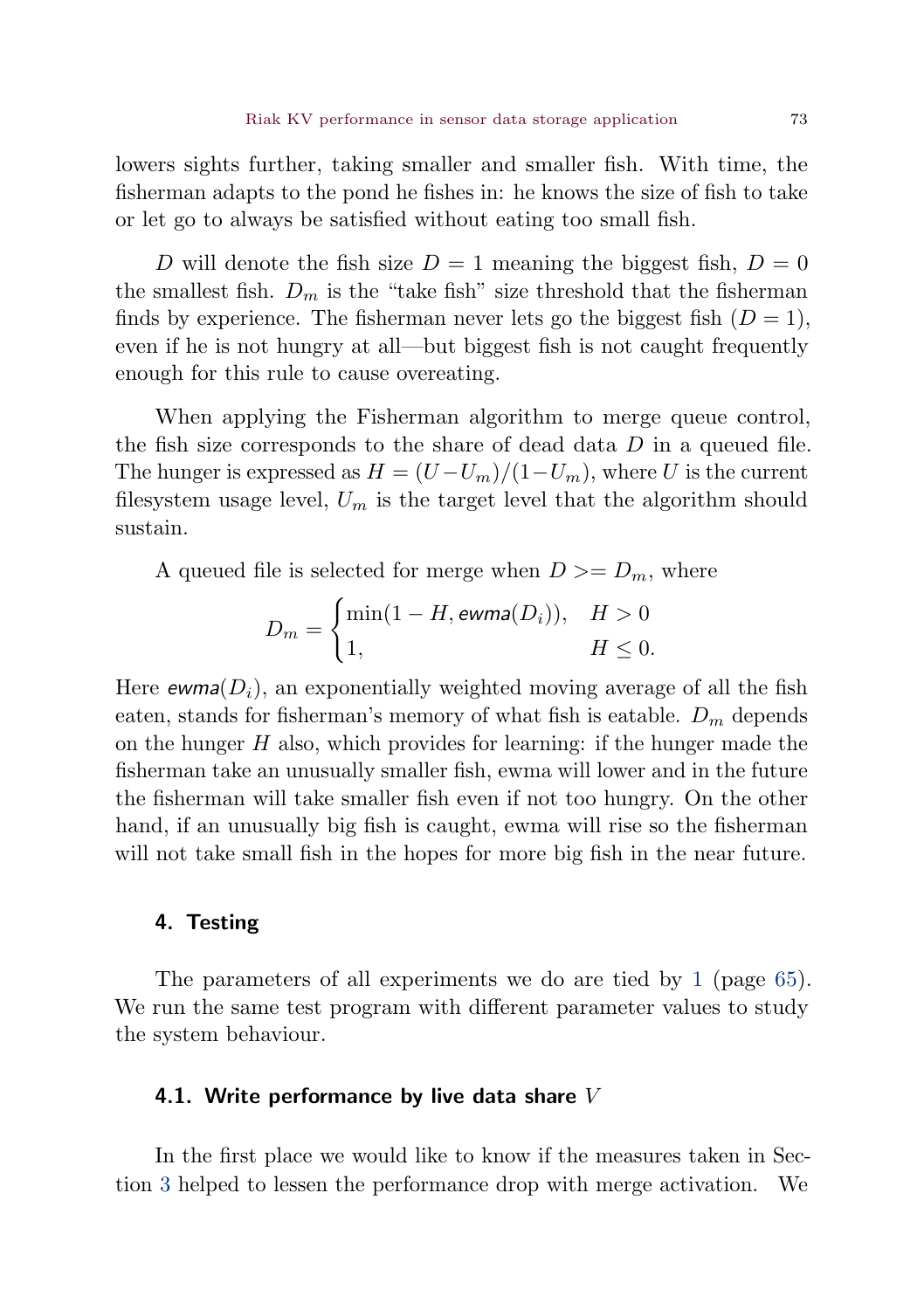lowers sights further, taking smaller and smaller fish. With time, the fisherman adapts to the pond he fishes in: he knows the size of fish to take or let go to always be satisfied without eating too small fish.

D will denote the fish size  $D = 1$  meaning the biggest fish,  $D = 0$ the smallest fish.  $D_m$  is the "take fish" size threshold that the fisherman finds by experience. The fisherman never lets go the biggest fish  $(D = 1)$ , even if he is not hungry at all—but biggest fish is not caught frequently enough for this rule to cause overeating.

When applying the Fisherman algorithm to merge queue control, the fish size corresponds to the share of dead data  $D$  in a queued file. The hunger is expressed as  $H = (U-U_m)/(1-U_m)$ , where U is the current filesystem usage level,  $U_m$  is the target level that the algorithm should sustain.

A queued file is selected for merge when  $D \ge D_m$ , where

$$
D_m = \begin{cases} \min(1 - H, \text{ewma}(D_i)), & H > 0 \\ 1, & H \le 0. \end{cases}
$$

Here  $\mathsf{ewma}(D_i)$ , an exponentially weighted moving average of all the fish eaten, stands for fisherman's memory of what fish is eatable.  $D_m$  depends on the hunger  $H$  also, which provides for learning: if the hunger made the fisherman take an unusually smaller fish, ewma will lower and in the future the fisherman will take smaller fish even if not too hungry. On the other hand, if an unusually big fish is caught, ewma will rise so the fisherman will not take small fish in the hopes for more big fish in the near future.

## <span id="page-12-0"></span>4. Testing

The parameters of all experiments we do are tied by [1](#page-4-1) (page [65\)](#page-4-1). We run the same test program with different parameter values to study the system behaviour.

#### <span id="page-12-1"></span>4.1. Write performance by live data share  $V$

In the first place we would like to know if the measures taken in Section [3](#page-8-0) helped to lessen the performance drop with merge activation. We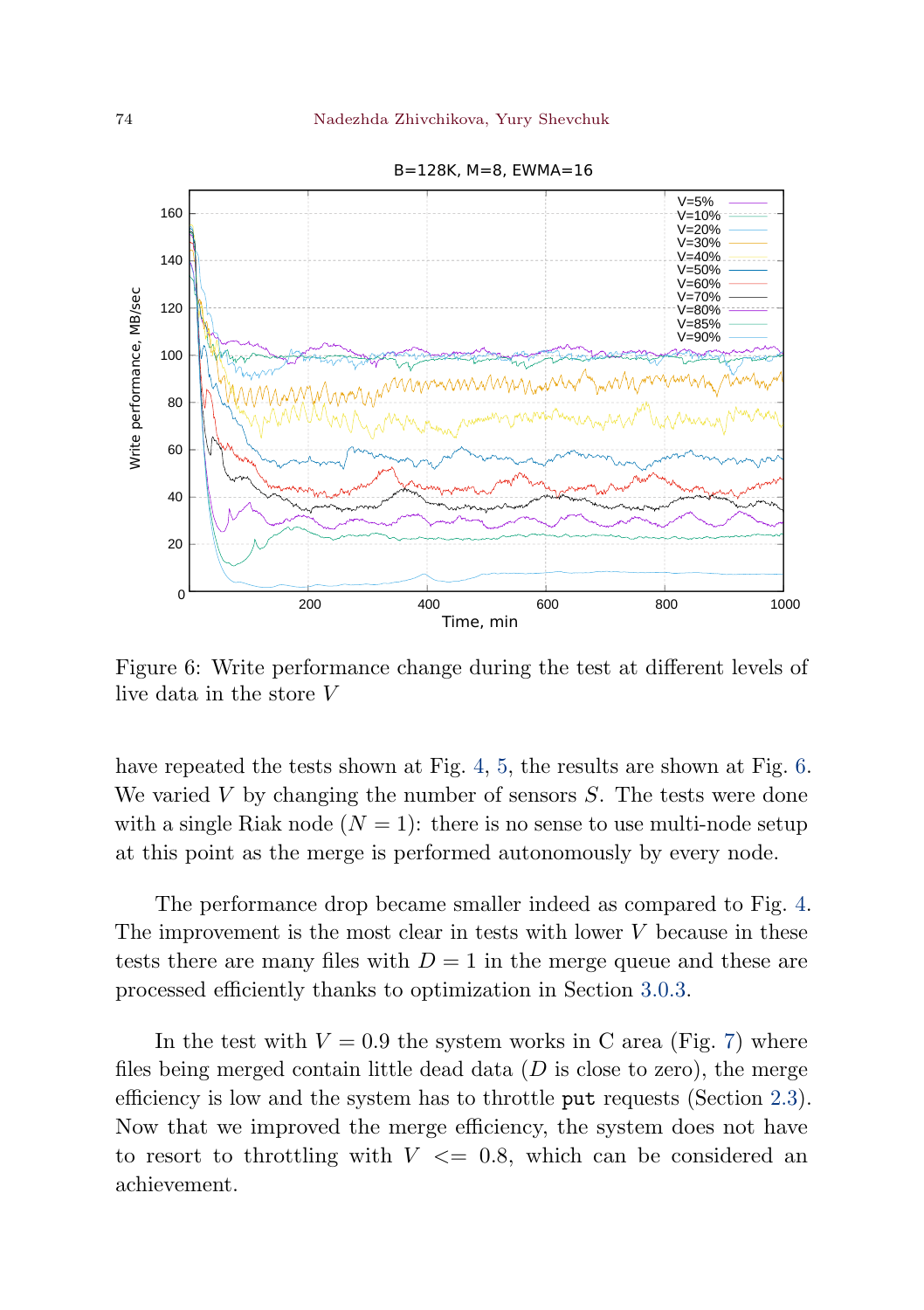<span id="page-13-0"></span>

B=128K, M=8, EWMA=16

Figure 6: Write performance change during the test at different levels of live data in the store  $V$ 

have repeated the tests shown at Fig. [4,](#page-9-0) [5,](#page-10-1) the results are shown at Fig. [6.](#page-13-0) We varied  $V$  by changing the number of sensors  $S$ . The tests were done with a single Riak node  $(N = 1)$ : there is no sense to use multi-node setup at this point as the merge is performed autonomously by every node.

The performance drop became smaller indeed as compared to Fig. [4.](#page-9-0) The improvement is the most clear in tests with lower  $V$  because in these tests there are many files with  $D=1$  in the merge queue and these are processed efficiently thanks to optimization in Section [3.0.3.](#page-11-0)

In the test with  $V = 0.9$  the system works in C area (Fig. [7\)](#page-14-0) where files being merged contain little dead data  $(D \text{ is close to zero})$ , the merge efficiency is low and the system has to throttle put requests (Section [2.3\)](#page-7-0). Now that we improved the merge efficiency, the system does not have to resort to throttling with  $V \leq 0.8$ , which can be considered an achievement.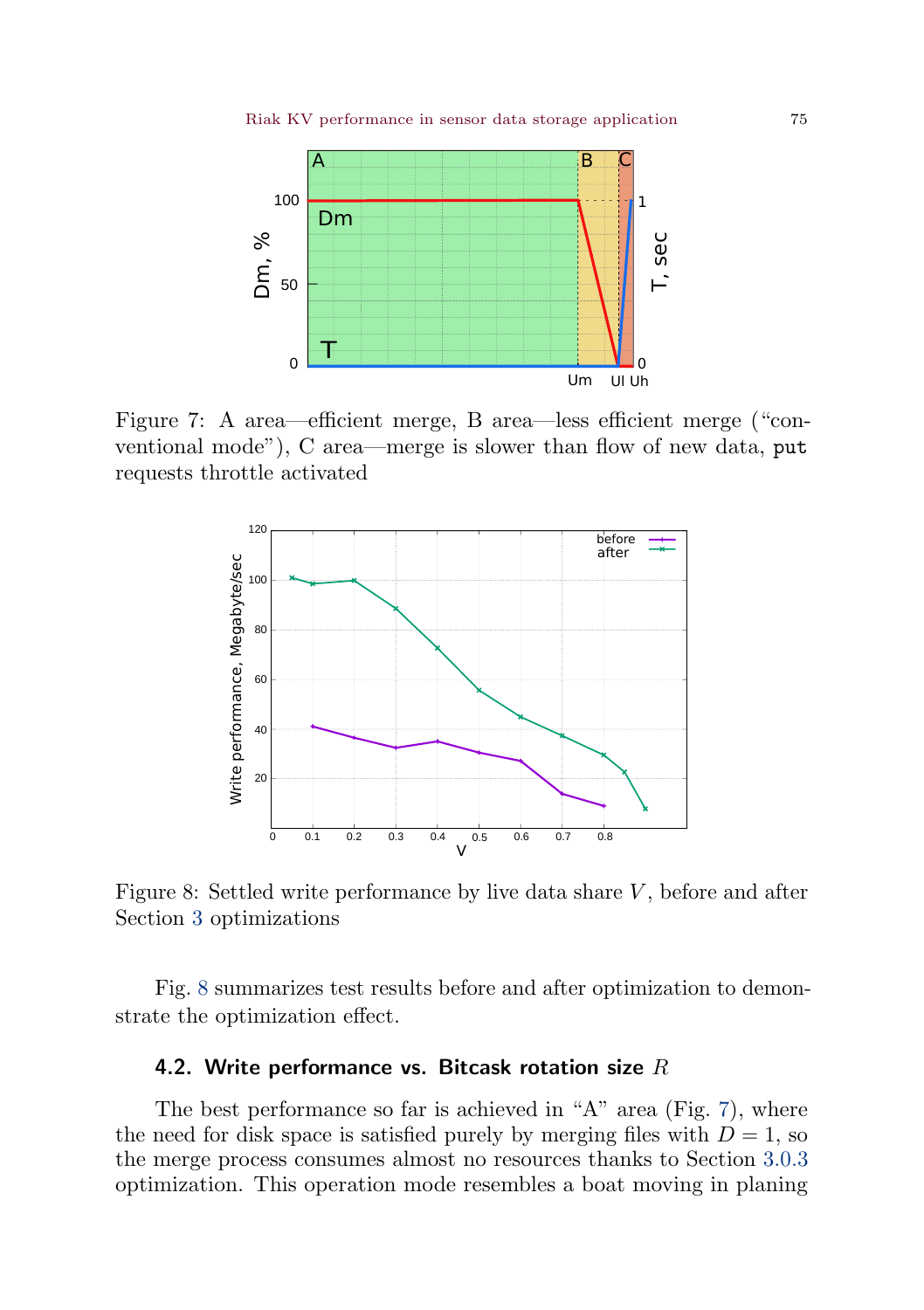<span id="page-14-0"></span>

Figure 7: A area—efficient merge, B area—less efficient merge ("conventional mode"), C area—merge is slower than flow of new data, put requests throttle activated

<span id="page-14-1"></span>

Figure 8: Settled write performance by live data share  $V$ , before and after Section [3](#page-8-0) optimizations

Fig. [8](#page-14-1) summarizes test results before and after optimization to demonstrate the optimization effect.

# 4.2. Write performance vs. Bitcask rotation size  $R$

The best performance so far is achieved in "A" area (Fig. [7\)](#page-14-0), where the need for disk space is satisfied purely by merging files with  $D = 1$ , so the merge process consumes almost no resources thanks to Section [3.0.3](#page-11-0) optimization. This operation mode resembles a boat moving in planing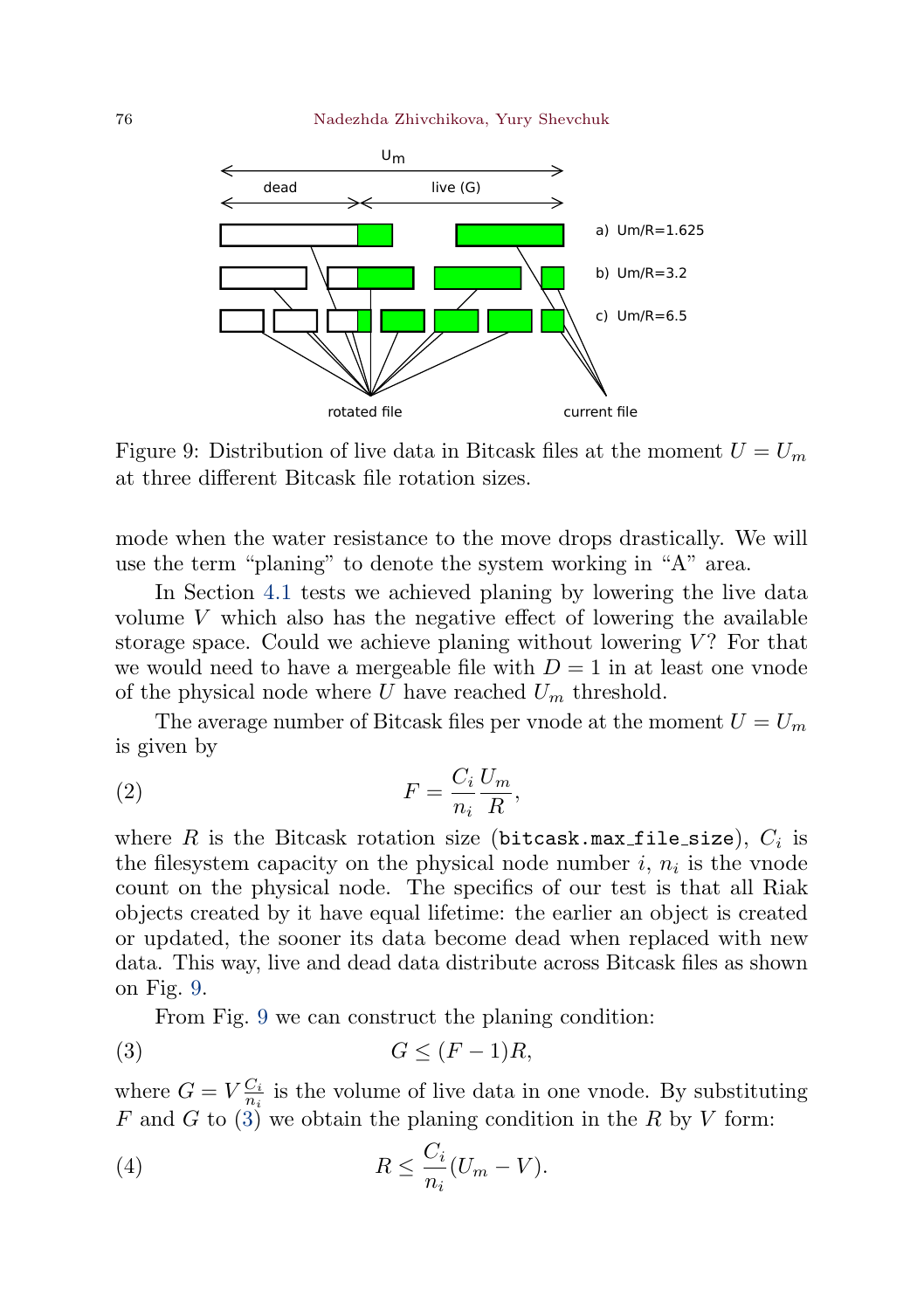<span id="page-15-0"></span>

Figure 9: Distribution of live data in Bitcask files at the moment  $U = U_m$ at three different Bitcask file rotation sizes.

mode when the water resistance to the move drops drastically. We will use the term "planing" to denote the system working in "A" area.

In Section [4.1](#page-12-1) tests we achieved planing by lowering the live data volume  $V$  which also has the negative effect of lowering the available storage space. Could we achieve planing without lowering  $V$ ? For that we would need to have a mergeable file with  $D=1$  in at least one vnode of the physical node where  $U$  have reached  $U_m$  threshold.

The average number of Bitcask files per vnode at the moment  $U = U_m$ is given by

$$
(2) \t\t\t F = \frac{C_i}{n_i} \frac{U_m}{R},
$$

where  $R$  is the Bitcask rotation size (bitcask.max\_file\_size),  $C_i$  is the filesystem capacity on the physical node number  $i, n_i$  is the vnode count on the physical node. The specifics of our test is that all Riak objects created by it have equal lifetime: the earlier an object is created or updated, the sooner its data become dead when replaced with new data. This way, live and dead data distribute across Bitcask files as shown on Fig. [9.](#page-15-0)

From Fig. [9](#page-15-0) we can construct the planing condition:

<span id="page-15-1"></span>
$$
(3) \tG \le (F-1)R,
$$

where  $G = V \frac{C_i}{n_i}$  is the volume of live data in one vnode. By substituting F and G to  $(3)$  we obtain the planing condition in the R by V form:

<span id="page-15-2"></span>(4) 
$$
R \leq \frac{C_i}{n_i}(U_m - V).
$$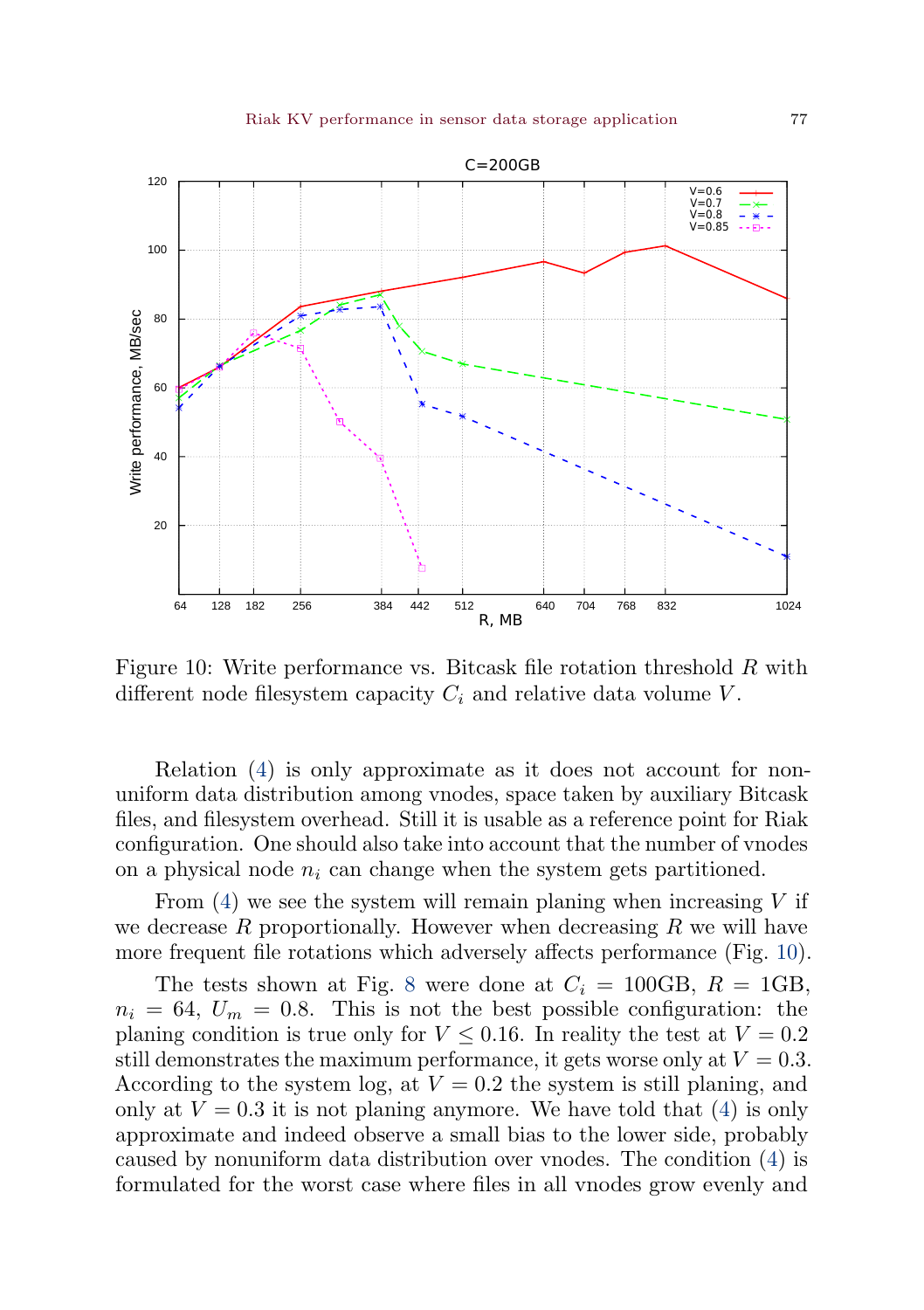<span id="page-16-0"></span>

Figure 10: Write performance vs. Bitcask file rotation threshold  $R$  with different node filesystem capacity  $C_i$  and relative data volume  $V$ .

Relation [\(4\)](#page-15-2) is only approximate as it does not account for nonuniform data distribution among vnodes, space taken by auxiliary Bitcask files, and filesystem overhead. Still it is usable as a reference point for Riak configuration. One should also take into account that the number of vnodes on a physical node  $n_i$  can change when the system gets partitioned.

From  $(4)$  we see the system will remain planing when increasing V if we decrease  $R$  proportionally. However when decreasing  $R$  we will have more frequent file rotations which adversely affects performance (Fig. [10\)](#page-16-0).

The tests shown at Fig. [8](#page-14-1) were done at  $C_i = 100 \text{GB}, R = 1 \text{GB},$  $n_i = 64$ ,  $U_m = 0.8$ . This is not the best possible configuration: the planing condition is true only for  $V \leq 0.16$ . In reality the test at  $V = 0.2$ still demonstrates the maximum performance, it gets worse only at  $V = 0.3$ . According to the system log, at  $V = 0.2$  the system is still planing, and only at  $V = 0.3$  it is not planing anymore. We have told that [\(4\)](#page-15-2) is only approximate and indeed observe a small bias to the lower side, probably caused by nonuniform data distribution over vnodes. The condition [\(4\)](#page-15-2) is formulated for the worst case where files in all vnodes grow evenly and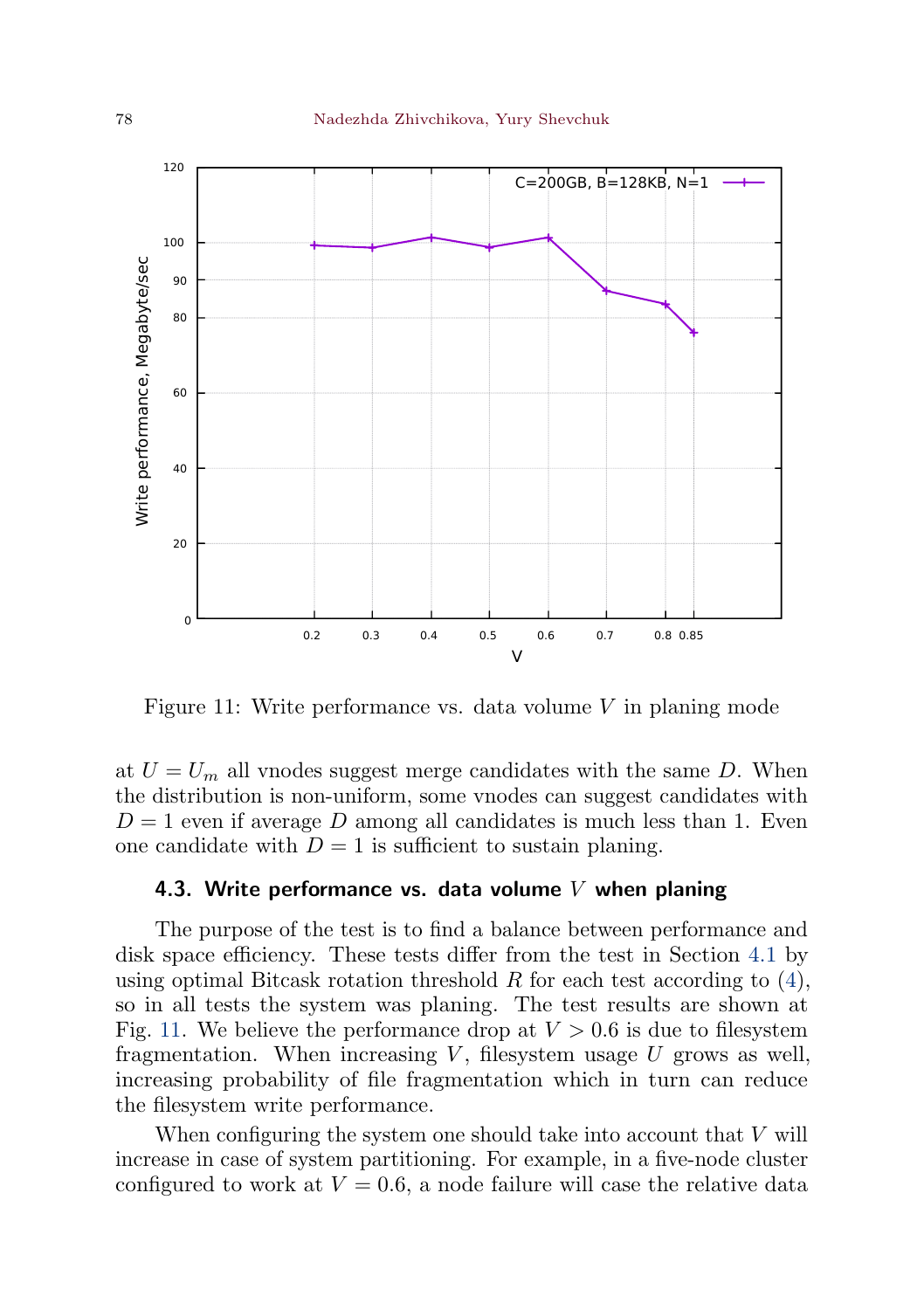<span id="page-17-0"></span>

Figure 11: Write performance vs. data volume  $V$  in planing mode

at  $U = U_m$  all vnodes suggest merge candidates with the same D. When the distribution is non-uniform, some vnodes can suggest candidates with  $D = 1$  even if average D among all candidates is much less than 1. Even one candidate with  $D = 1$  is sufficient to sustain planing.

#### 4.3. Write performance vs. data volume  $V$  when planing

The purpose of the test is to find a balance between performance and disk space efficiency. These tests differ from the test in Section [4.1](#page-12-1) by using optimal Bitcask rotation threshold  $R$  for each test according to [\(4\)](#page-15-2), so in all tests the system was planing. The test results are shown at Fig. [11.](#page-17-0) We believe the performance drop at  $V > 0.6$  is due to filesystem fragmentation. When increasing  $V$ , filesystem usage  $U$  grows as well, increasing probability of file fragmentation which in turn can reduce the filesystem write performance.

When configuring the system one should take into account that  $V$  will increase in case of system partitioning. For example, in a five-node cluster configured to work at  $V = 0.6$ , a node failure will case the relative data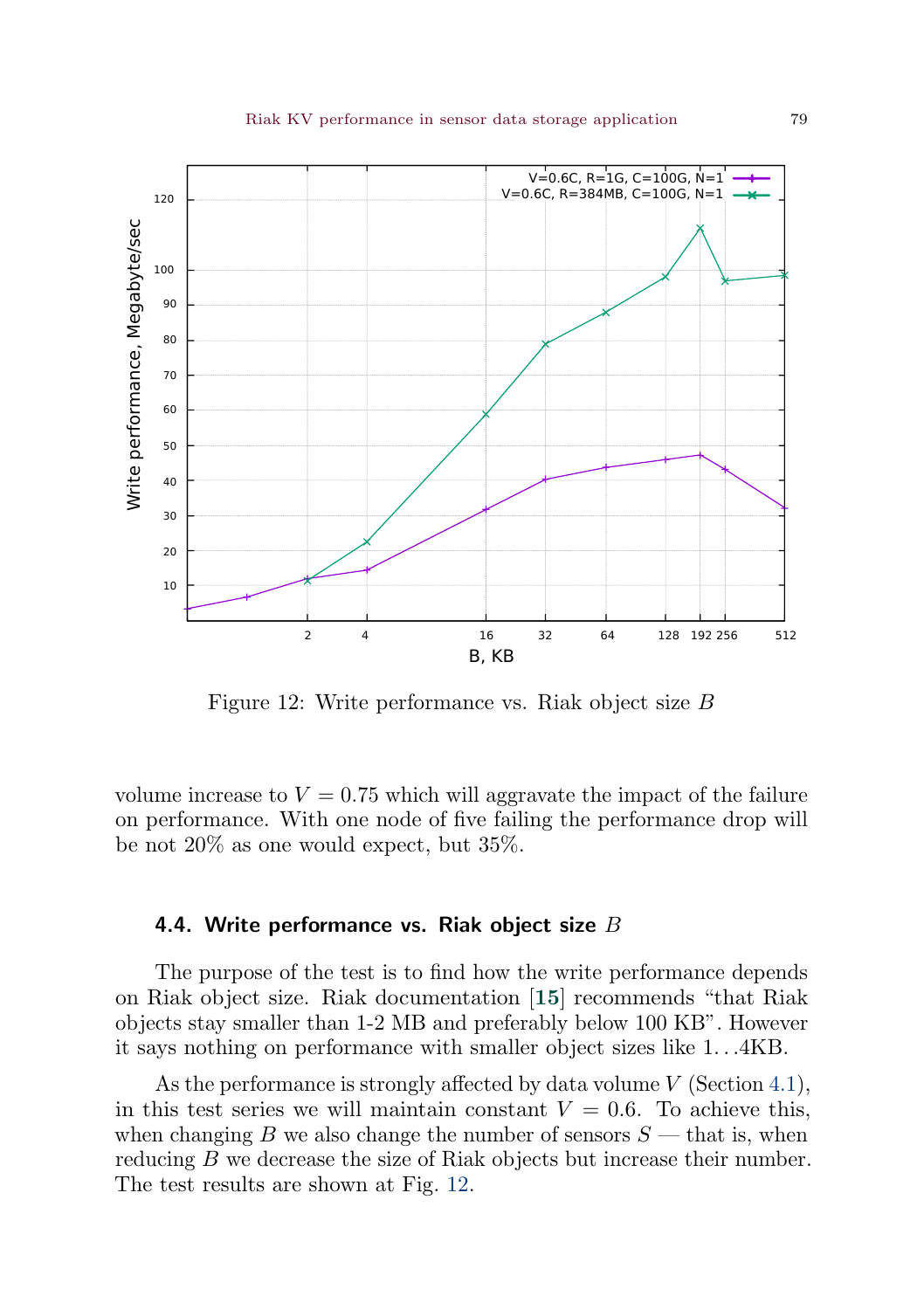<span id="page-18-1"></span><span id="page-18-0"></span>

Figure 12: Write performance vs. Riak object size  $B$ 

volume increase to  $V = 0.75$  which will aggravate the impact of the failure on performance. With one node of five failing the performance drop will be not 20% as one would expect, but 35%.

## 4.4. Write performance vs. Riak object size  $B$

The purpose of the test is to find how the write performance depends on Riak object size. Riak documentation [[15](#page-23-14)] recommends "that Riak objects stay smaller than 1-2 MB and preferably below 100 KB". However it says nothing on performance with smaller object sizes like  $1...4KB$ .

As the performance is strongly affected by data volume  $V$  (Section [4.1\)](#page-12-1), in this test series we will maintain constant  $V = 0.6$ . To achieve this, when changing B we also change the number of sensors  $S$  — that is, when reducing  $B$  we decrease the size of Riak objects but increase their number. The test results are shown at Fig. [12.](#page-18-0)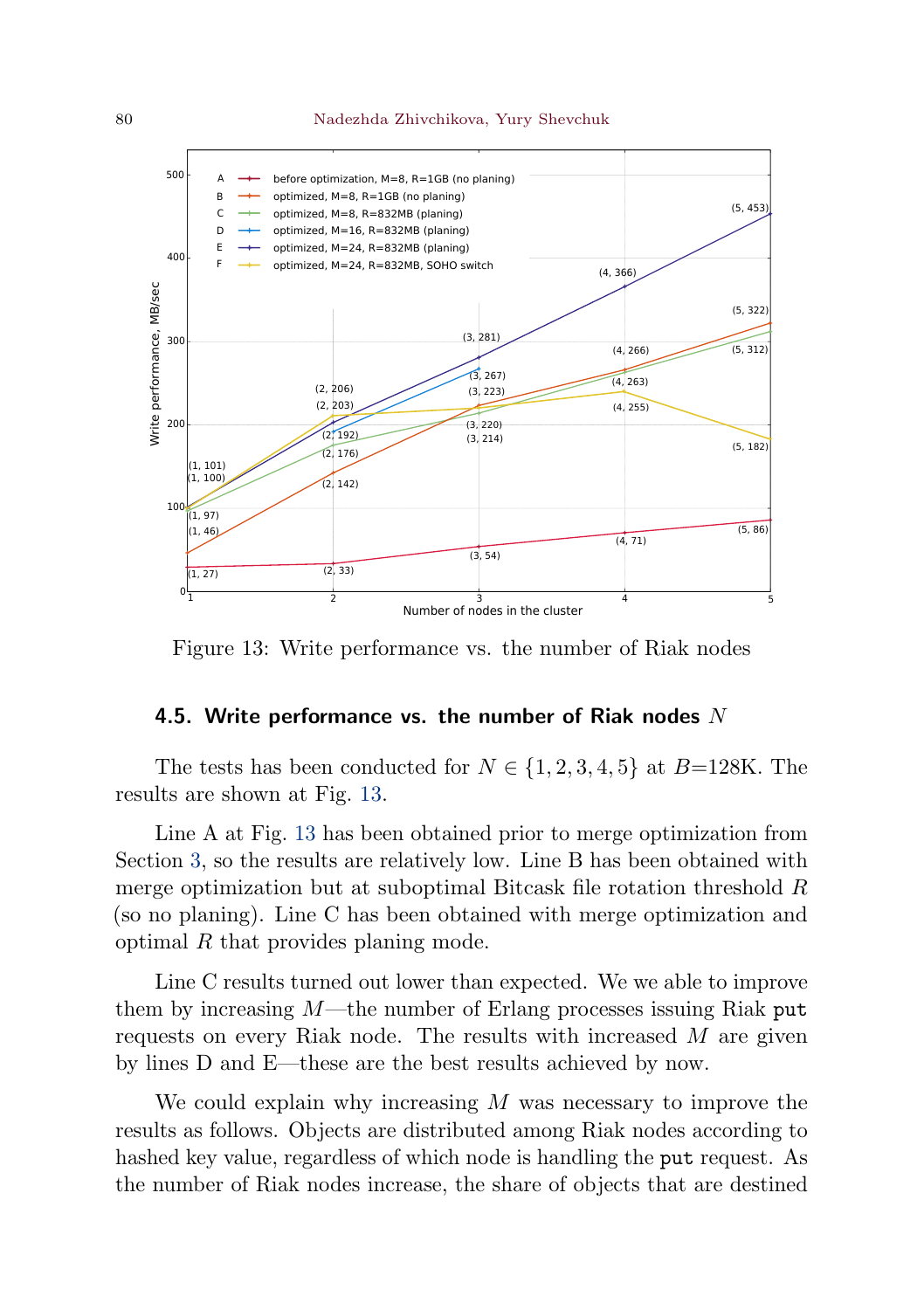

<span id="page-19-0"></span>

Figure 13: Write performance vs. the number of Riak nodes

## 4.5. Write performance vs. the number of Riak nodes  $N$

The tests has been conducted for  $N \in \{1, 2, 3, 4, 5\}$  at  $B=128K$ . The results are shown at Fig. [13.](#page-19-0)

Line A at Fig. [13](#page-19-0) has been obtained prior to merge optimization from Section [3,](#page-8-0) so the results are relatively low. Line B has been obtained with merge optimization but at suboptimal Bitcask file rotation threshold  $R$ (so no planing). Line C has been obtained with merge optimization and optimal  $R$  that provides planing mode.

Line C results turned out lower than expected. We we able to improve them by increasing  $M$ —the number of Erlang processes issuing Riak put requests on every Riak node. The results with increased  $M$  are given by lines D and E—these are the best results achieved by now.

We could explain why increasing  $M$  was necessary to improve the results as follows. Objects are distributed among Riak nodes according to hashed key value, regardless of which node is handling the put request. As the number of Riak nodes increase, the share of objects that are destined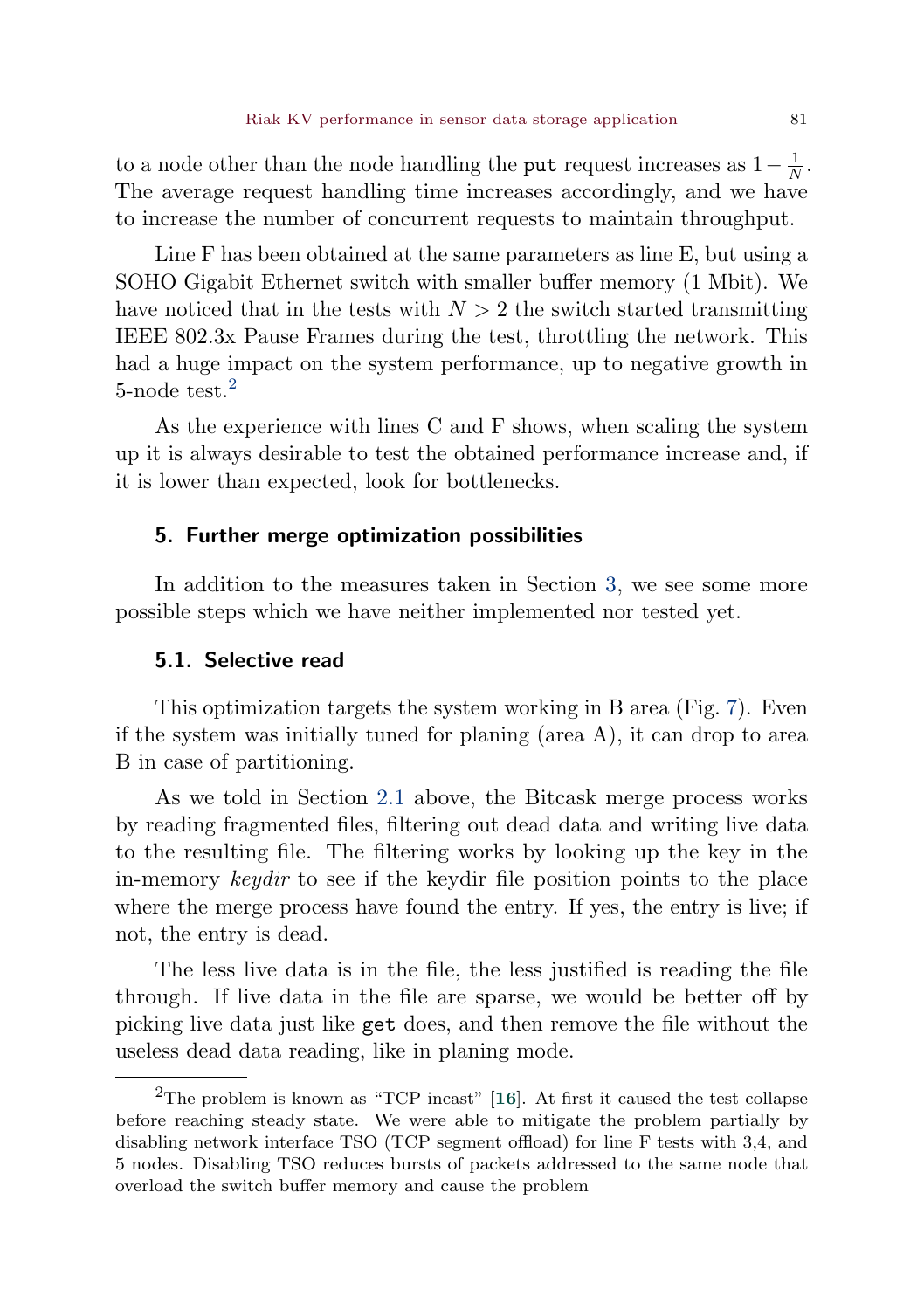<span id="page-20-2"></span>to a node other than the node handling the **put** request increases as  $1 - \frac{1}{N}$ . The average request handling time increases accordingly, and we have to increase the number of concurrent requests to maintain throughput.

Line F has been obtained at the same parameters as line E, but using a SOHO Gigabit Ethernet switch with smaller buffer memory (1 Mbit). We have noticed that in the tests with  $N > 2$  the switch started transmitting IEEE 802.3x Pause Frames during the test, throttling the network. This had a huge impact on the system performance, up to negative growth in 5-node test. $<sup>2</sup>$  $<sup>2</sup>$  $<sup>2</sup>$ </sup>

As the experience with lines C and F shows, when scaling the system up it is always desirable to test the obtained performance increase and, if it is lower than expected, look for bottlenecks.

## <span id="page-20-0"></span>5. Further merge optimization possibilities

In addition to the measures taken in Section [3,](#page-8-0) we see some more possible steps which we have neither implemented nor tested yet.

## 5.1. Selective read

This optimization targets the system working in B area (Fig. [7\)](#page-14-0). Even if the system was initially tuned for planing (area A), it can drop to area B in case of partitioning.

As we told in Section [2.1](#page-6-1) above, the Bitcask merge process works by reading fragmented files, filtering out dead data and writing live data to the resulting file. The filtering works by looking up the key in the in-memory keydir to see if the keydir file position points to the place where the merge process have found the entry. If yes, the entry is live; if not, the entry is dead.

The less live data is in the file, the less justified is reading the file through. If live data in the file are sparse, we would be better off by picking live data just like get does, and then remove the file without the useless dead data reading, like in planing mode.

<span id="page-20-1"></span><sup>&</sup>lt;sup>2</sup>The problem is known as "TCP incast"  $[16]$  $[16]$  $[16]$ . At first it caused the test collapse before reaching steady state. We were able to mitigate the problem partially by disabling network interface TSO (TCP segment offload) for line F tests with 3,4, and 5 nodes. Disabling TSO reduces bursts of packets addressed to the same node that overload the switch buffer memory and cause the problem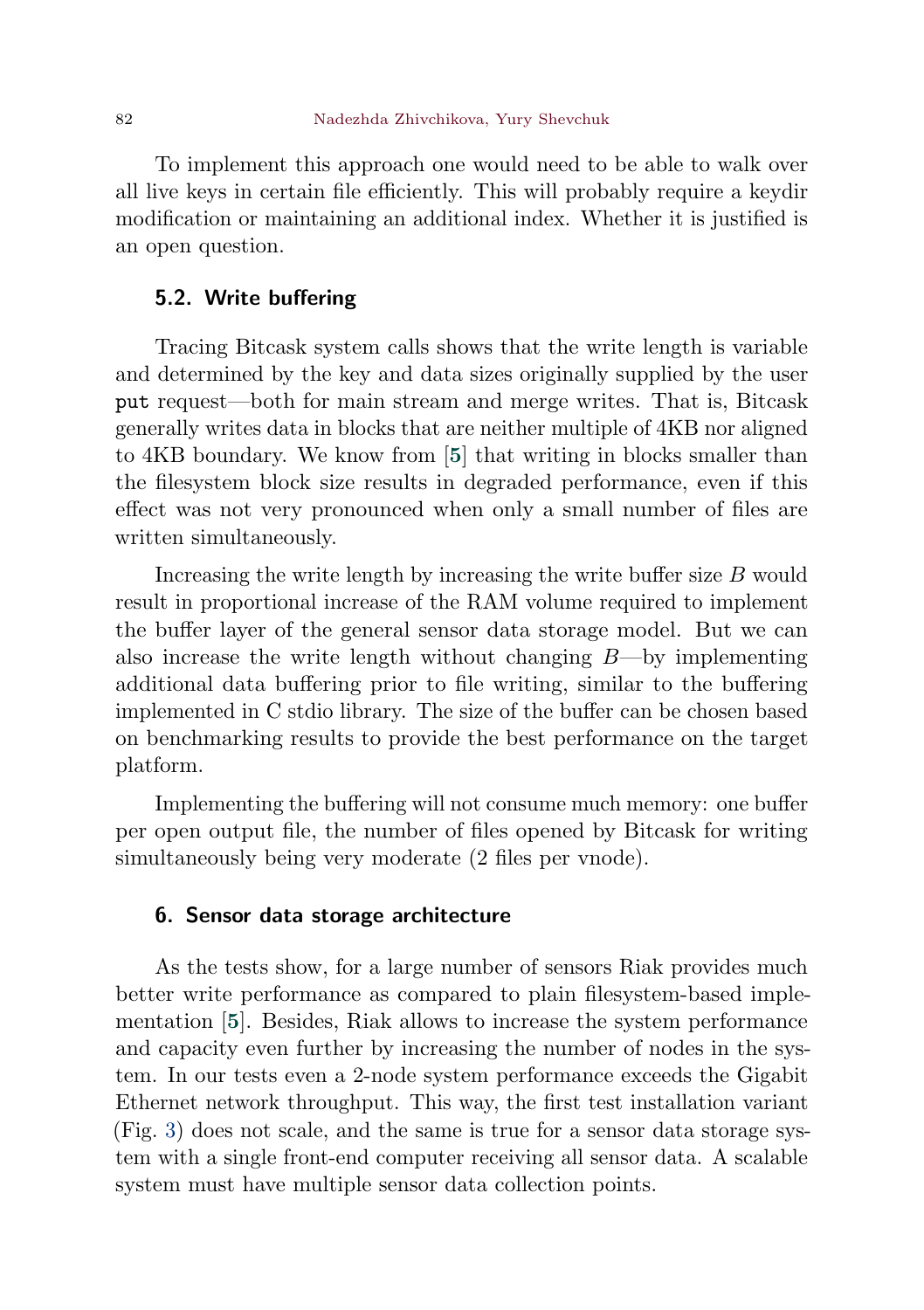<span id="page-21-1"></span>To implement this approach one would need to be able to walk over all live keys in certain file efficiently. This will probably require a keydir modification or maintaining an additional index. Whether it is justified is an open question.

## 5.2. Write buffering

Tracing Bitcask system calls shows that the write length is variable and determined by the key and data sizes originally supplied by the user put request—both for main stream and merge writes. That is, Bitcask generally writes data in blocks that are neither multiple of 4KB nor aligned to 4KB boundary. We know from [[5](#page-23-4)] that writing in blocks smaller than the filesystem block size results in degraded performance, even if this effect was not very pronounced when only a small number of files are written simultaneously.

Increasing the write length by increasing the write buffer size  $B$  would result in proportional increase of the RAM volume required to implement the buffer layer of the general sensor data storage model. But we can also increase the write length without changing  $B$ —by implementing additional data buffering prior to file writing, similar to the buffering implemented in C stdio library. The size of the buffer can be chosen based on benchmarking results to provide the best performance on the target platform.

Implementing the buffering will not consume much memory: one buffer per open output file, the number of files opened by Bitcask for writing simultaneously being very moderate  $(2 \text{ files per vnode}).$ 

# <span id="page-21-0"></span>6. Sensor data storage architecture

As the tests show, for a large number of sensors Riak provides much better write performance as compared to plain filesystem-based implementation [[5](#page-23-4)]. Besides, Riak allows to increase the system performance and capacity even further by increasing the number of nodes in the system. In our tests even a 2-node system performance exceeds the Gigabit Ethernet network throughput. This way, the first test installation variant (Fig. [3\)](#page-5-0) does not scale, and the same is true for a sensor data storage system with a single front-end computer receiving all sensor data. A scalable system must have multiple sensor data collection points.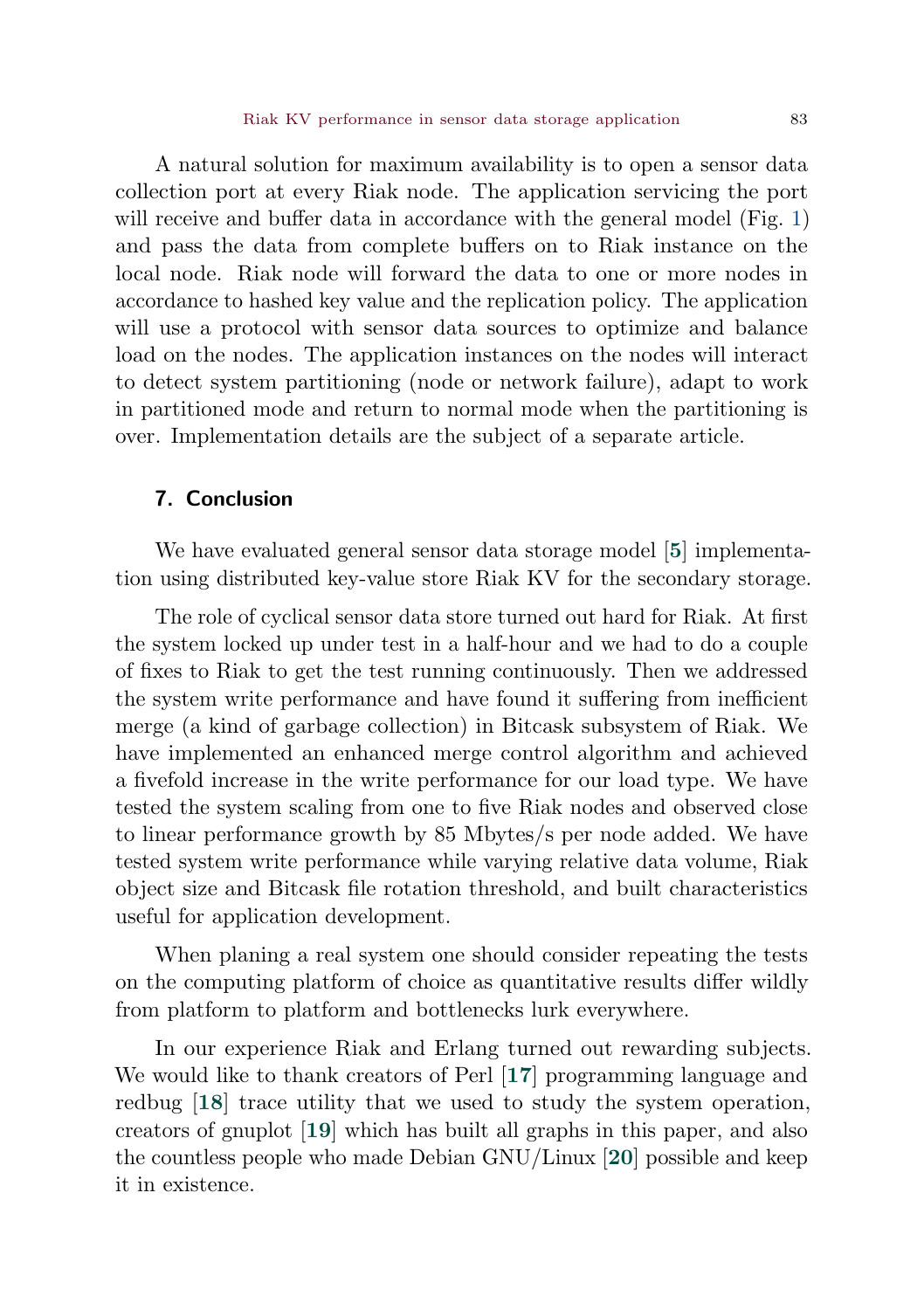<span id="page-22-0"></span>A natural solution for maximum availability is to open a sensor data collection port at every Riak node. The application servicing the port will receive and buffer data in accordance with the general model (Fig. [1\)](#page-1-0) and pass the data from complete buffers on to Riak instance on the local node. Riak node will forward the data to one or more nodes in accordance to hashed key value and the replication policy. The application will use a protocol with sensor data sources to optimize and balance load on the nodes. The application instances on the nodes will interact to detect system partitioning (node or network failure), adapt to work in partitioned mode and return to normal mode when the partitioning is over. Implementation details are the subject of a separate article.

## 7. Conclusion

We have evaluated general sensor data storage model [[5](#page-23-4)] implementation using distributed key-value store Riak KV for the secondary storage.

The role of cyclical sensor data store turned out hard for Riak. At first the system locked up under test in a half-hour and we had to do a couple of fixes to Riak to get the test running continuously. Then we addressed the system write performance and have found it suffering from inefficient merge (a kind of garbage collection) in Bitcask subsystem of Riak. We have implemented an enhanced merge control algorithm and achieved a fivefold increase in the write performance for our load type. We have tested the system scaling from one to five Riak nodes and observed close to linear performance growth by 85 Mbytes/s per node added. We have tested system write performance while varying relative data volume, Riak object size and Bitcask file rotation threshold, and built characteristics useful for application development.

When planing a real system one should consider repeating the tests on the computing platform of choice as quantitative results differ wildly from platform to platform and bottlenecks lurk everywhere.

In our experience Riak and Erlang turned out rewarding subjects. We would like to thank creators of Perl [[17](#page-24-1)] programming language and redbug [[18](#page-24-2)] trace utility that we used to study the system operation, creators of gnuplot [[19](#page-24-3)] which has built all graphs in this paper, and also the countless people who made Debian GNU/Linux [[20](#page-24-4)] possible and keep it in existence.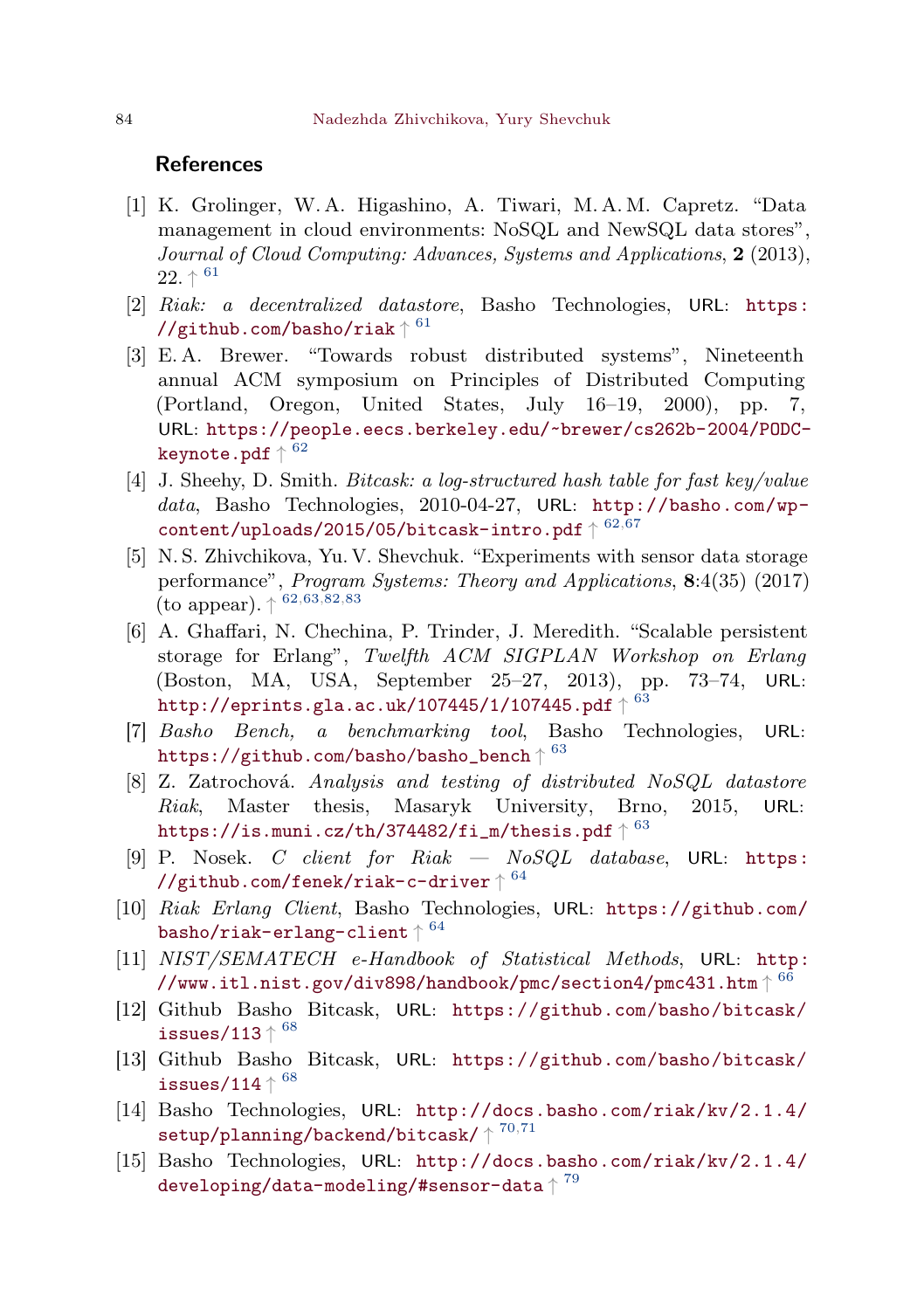#### References

- <span id="page-23-0"></span>[1] K. Grolinger, W. A. Higashino, A. Tiwari, M. A. M. Capretz. "Data management in cloud environments: NoSQL and NewSQL data stores", Journal of Cloud Computing: Advances, Systems and Applications, 2 (2013),  $22.$   $\uparrow$   $^{61}$  $^{61}$  $^{61}$
- <span id="page-23-1"></span>[2] Riak: a decentralized datastore, Basho Technologies, URL: [https:](https://github.com/basho/riak)  $\mathcal{N}/$ github.com/basho/riak $\uparrow$   $^{61}$  $^{61}$  $^{61}$
- <span id="page-23-2"></span>[3] E. A. Brewer. "Towards robust distributed systems", Nineteenth annual ACM symposium on Principles of Distributed Computing (Portland, Oregon, United States, July 16–19, 2000), pp. 7, URL: [https://people.eecs.berkeley.edu/~brewer/cs262b-2004/PODC](https://people.eecs.berkeley.edu/~brewer/cs262b-2004/PODC-keynote.pdf)[keynote.pdf](https://people.eecs.berkeley.edu/~brewer/cs262b-2004/PODC-keynote.pdf)  $\uparrow$   $^{62}$  $^{62}$  $^{62}$
- <span id="page-23-3"></span>[4] J. Sheehy, D. Smith. Bitcask: a log-structured hash table for fast key/value data, Basho Technologies, 2010-04-27, URL: [http://basho.com/wp-](http://basho.com/wp-content/uploads/2015/05/bitcask-intro.pdf) $\texttt{content} / \texttt{uploads} / 2015 / 05 / \texttt{bitcash} \texttt{-intro.pdf} \uparrow 62, 67$  $\texttt{content} / \texttt{uploads} / 2015 / 05 / \texttt{bitcash} \texttt{-intro.pdf} \uparrow 62, 67$  $\texttt{content} / \texttt{uploads} / 2015 / 05 / \texttt{bitcash} \texttt{-intro.pdf} \uparrow 62, 67$  $\texttt{content} / \texttt{uploads} / 2015 / 05 / \texttt{bitcash} \texttt{-intro.pdf} \uparrow 62, 67$
- <span id="page-23-4"></span>[5] N. S. Zhivchikova, Yu. V. Shevchuk. "Experiments with sensor data storage performance", Program Systems: Theory and Applications, 8:4(35) (2017) (to appear).  $\uparrow 62,63,82,83$  $\uparrow 62,63,82,83$  $\uparrow 62,63,82,83$  $\uparrow 62,63,82,83$  $\uparrow 62,63,82,83$  $\uparrow 62,63,82,83$  $\uparrow 62,63,82,83$  $\uparrow 62,63,82,83$
- <span id="page-23-5"></span>[6] A. Ghaffari, N. Chechina, P. Trinder, J. Meredith. "Scalable persistent storage for Erlang", Twelfth ACM SIGPLAN Workshop on Erlang (Boston, MA, USA, September 25–27, 2013), pp. 73–74, URL: <code><http://eprints.gla.ac.uk/107445/1/107445.pdf></code>  $\uparrow$   $^{63}$  $^{63}$  $^{63}$
- <span id="page-23-6"></span>[7] Basho Bench, a benchmarking tool, Basho Technologies, URL:  $\texttt{https://github.com/basho/basho\_bench} \uparrow 63$  $\texttt{https://github.com/basho/basho\_bench} \uparrow 63$
- <span id="page-23-7"></span>[8] Z. Zatrochová. Analysis and testing of distributed  $NoSQL$  datastore Riak, Master thesis, Masaryk University, Brno, 2015, URL: <code>[https://is.muni.cz/th/374482/fi\\_m/thesis.pdf](https://is.muni.cz/th/374482/fi_m/thesis.pdf)</code>  $\uparrow$   $^{63}$  $^{63}$  $^{63}$
- <span id="page-23-8"></span>[9] P. Nosek. C client for  $Risk$   $NoSQL$  database, URL: [https:](https://github.com/fenek/riak-c-driver)  ${\tt //github.com/fenek/riak-c-driven}$
- <span id="page-23-9"></span>[10] Riak Erlang Client, Basho Technologies, URL: [https://github.com/](https://github.com/basho/riak-erlang-client) [basho/riak-erlang-client](https://github.com/basho/riak-erlang-client) $\uparrow{}^{64}$  $\uparrow{}^{64}$  $\uparrow{}^{64}$
- <span id="page-23-10"></span>[11] NIST/SEMATECH e-Handbook of Statistical Methods, URL: [http:](http://www.itl.nist.gov/div898/handbook/pmc/section4/pmc431.htm) [//www.itl.nist.gov/div898/handbook/pmc/section4/pmc431.htm](http://www.itl.nist.gov/div898/handbook/pmc/section4/pmc431.htm)  $\uparrow{}^{66}$  $\uparrow{}^{66}$  $\uparrow{}^{66}$
- <span id="page-23-11"></span>[12] Github Basho Bitcask, URL: [https://github.com/basho/bitcask/](https://github.com/basho/bitcask/issues/113) [issues/113](https://github.com/basho/bitcask/issues/113) $\uparrow$   $^{68}$  $^{68}$  $^{68}$
- <span id="page-23-12"></span>[13] Github Basho Bitcask, URL: [https://github.com/basho/bitcask/](https://github.com/basho/bitcask/issues/114) [issues/114](https://github.com/basho/bitcask/issues/114)  $\uparrow$   $^{68}$  $^{68}$  $^{68}$
- <span id="page-23-13"></span>[14] Basho Technologies, URL: [http://docs.basho.com/riak/kv/2.1.4/](http://docs.basho.com/riak/kv/2.1.4/setup/planning/backend/bitcask/)  $\texttt{setup}/\texttt{planning}/\texttt{background}/\texttt{bitcask}/\uparrow{}^{70,71}$  $\texttt{setup}/\texttt{planning}/\texttt{background}/\texttt{bitcask}/\uparrow{}^{70,71}$  $\texttt{setup}/\texttt{planning}/\texttt{background}/\texttt{bitcask}/\uparrow{}^{70,71}$  $\texttt{setup}/\texttt{planning}/\texttt{background}/\texttt{bitcask}/\uparrow{}^{70,71}$  $\texttt{setup}/\texttt{planning}/\texttt{background}/\texttt{bitcask}/\uparrow{}^{70,71}$
- <span id="page-23-14"></span>[15] Basho Technologies, URL: [http://docs.basho.com/riak/kv/2.1.4/](http://docs.basho.com/riak/kv/2.1.4/developing/data-modeling/#sensor-data) [developing/data-modeling/#sensor-data](http://docs.basho.com/riak/kv/2.1.4/developing/data-modeling/#sensor-data) $\uparrow^{79}$  $\uparrow^{79}$  $\uparrow^{79}$